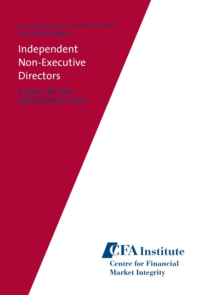# Independent Non-Executive **Directors**

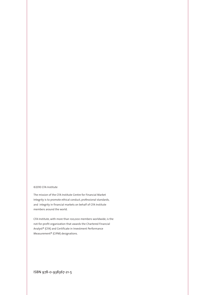#### ©2010 CFA Institute

The mission of the CFA Institute Centre for Financial Market Integrity is to promote ethical conduct, professional standards, and integrity in financial markets on behalf of CFA Institute members around the world.

CFA Institute, with more than 100,000 members worldwide, is the not-for-profit organization that awards the Chartered Financial Analyst® (CFA) and Certificate in Investment Performance Measurement® (CIPM) designations.

ISBN 978-0-938367-21-5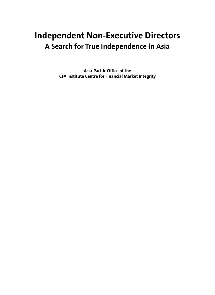## **Independent Non-Executive Directors A Search for True Independence in Asia**

**Asia-Pacific Office of the CFA Institute Centre for Financial Market Integrity**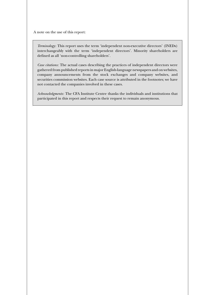A note on the use of this report:

*Terminology*: This report uses the term 'independent non-executive directors' (INEDs) interchangeably with the term 'independent directors'. Minority shareholders are defined as all 'non-controlling shareholders'.

*Case citations*: The actual cases describing the practices of independent directors were gathered from published reports in major English-language newspapers and on websites, company announcements from the stock exchanges and company websites, and securities commission websites. Each case source is attributed in the footnotes; we have not contacted the companies involved in these cases.

*Acknowledgments*: The CFA Institute Centre thanks the individuals and institutions that participated in this report and respects their request to remain anonymous.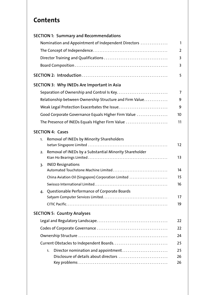## **Contents**

| <b>SECTION 1: Summary and Recommendations</b>                |    |
|--------------------------------------------------------------|----|
| Nomination and Appointment of Independent Directors          | 1  |
|                                                              | 2  |
|                                                              | 3  |
|                                                              | 3  |
|                                                              | 5  |
| SECTION 3: Why INEDs Are Important in Asia                   |    |
| Separation of Ownership and Control Is Key                   | 7  |
| Relationship between Ownership Structure and Firm Value      | 9  |
| Weak Legal Protection Exacerbates the Issue                  | 9  |
| Good Corporate Governance Equals Higher Firm Value           | 10 |
| The Presence of INEDs Equals Higher Firm Value               | 11 |
| <b>SECTION 4: Cases</b>                                      |    |
| Removal of INEDs by Minority Shareholders<br>1.              | 12 |
| Removal of INEDs by a Substantial Minority Shareholder<br>2. | 13 |
| <b>INED Resignations</b><br>$\overline{3}$ .                 | 14 |
| China Aviation Oil (Singapore) Corporation Limited           | 15 |
|                                                              | 16 |
| Questionable Performance of Corporate Boards<br>4.           |    |
|                                                              | 17 |
|                                                              | 19 |
| <b>SECTION 5: Country Analyses</b>                           |    |
|                                                              | 22 |
|                                                              | 22 |
|                                                              | 24 |
|                                                              | 25 |
| Director nomination and appointment<br>1.                    | 25 |
| Disclosure of details about directors                        | 26 |
|                                                              | 26 |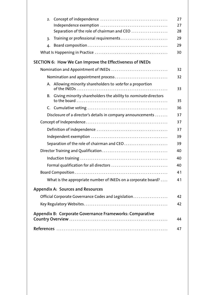| 2.                                                                                  | 27       |
|-------------------------------------------------------------------------------------|----------|
|                                                                                     | 27       |
| Separation of the role of chairman and CEO<br>Training or professional requirements | 28<br>29 |
| 3.                                                                                  |          |
| 4.                                                                                  | 29       |
|                                                                                     | 30       |
| SECTION 6: How We Can Improve the Effectiveness of INEDs                            |          |
| Nomination and Appointment of INEDs                                                 | 32       |
| Nomination and appointment process                                                  | 32       |
| A. Allowing minority shareholders to vote for a proportion                          | 33       |
| B. Giving minority shareholders the ability to nominate directors                   |          |
|                                                                                     | 35       |
|                                                                                     | 36       |
| Disclosure of a director's details in company announcements                         | 37       |
|                                                                                     | 37       |
|                                                                                     | 37       |
|                                                                                     | 39       |
| Separation of the role of chairman and CEO                                          | 39       |
|                                                                                     | 40       |
|                                                                                     | 40       |
| Formal qualification for all directors                                              | 40       |
|                                                                                     | 41       |
| What is the appropriate number of INEDs on a corporate board?                       | 41       |
| <b>Appendix A: Sources and Resources</b>                                            |          |
| Official Corporate Governance Codes and Legislation                                 | 42       |
|                                                                                     | 42       |
| Appendix B: Corporate Governance Frameworks: Comparative                            | 44       |
|                                                                                     | 47       |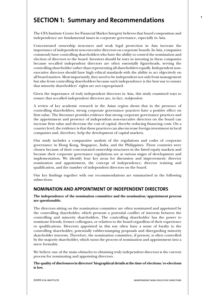## **SECTION 1: Summary and Recommendations**

The CFA Institute Centre for Financial Market Integrity believes that board composition and independence are fundamental issues in corporate governance, especially in Asia.

Concentrated ownership structures and weak legal protection in Asia increase the importance of independent non-executive directors on corporate boards. In Asia, companies commonly have controlling shareholders who have the ability to control the nomination and election of directors to the board. Investors should be wary in investing in these companies because so-called independent directors are often essentially figureheads, serving the controlling shareholder rather than representing all shareholders equally. Independent nonexecutive directors should have high ethical standards with the ability to act objectively on all board matters. Most importantly, they need to be independent not only from management but also from controlling shareholders because such independence is the best way to ensure that minority shareholders' rights are not expropriated.

Given the importance of truly independent directors in Asia, this study examined ways to ensure that so-called independent directors are, in fact, *independent*.

A review of key academic research in the Asian region shows that in the presence of controlling shareholders, strong corporate governance practices have a positive effect on firm value. The literature provides evidence that strong corporate governance practices and the appointment and presence of independent non-executive directors on the board can increase firm value and decrease the cost of capital, thereby reducing financing costs. On a country level, the evidence is that these practices can also increase foreign investment in local companies and, therefore, help the development of capital markets.

Our study includes a comparative analysis of the regulations and codes of corporate governance in Hong Kong, Singapore, India, and the Philippines. These countries were chosen because of their concentrated ownership structures in the listed equity markets and because their corporate governance regulations are at various stages of development and implementation. We identify four key areas for discussion and improvement: director nomination and appointment, the concept of independence, director training and qualification, and the number of independent directors on the board.

Our key findings together with our recommendations are summarised in the following subsections.

## **NOMINATION AND APPOINTMENT OF INDEPENDENT DIRECTORS**

**The independence of the nomination committee and the nomination/appointment process are questionable.** 

The directors sitting on the nomination committee are often nominated and appointed by the controlling shareholder, which presents a potential conflict of interests between the controlling and minority shareholders. The controlling shareholder has the power to nominate friends, former colleagues, or relatives to the board regardless of their experience or qualifications. Directors appointed in this way often have a sense of loyalty to the controlling shareholder, potentially rubber-stamping proposals and disregarding minority shareholder interests. Therefore, the nomination committee, if present, is often controlled by the majority shareholder, which turns the process of nomination and appointment into a mere formality.

We believe one of the main obstacles to obtaining truly independent directors is the current process for nominating and appointing directors.

**The quality of disclosures in directors' biographical details at the time of elections/re-elections is low.** 

**1**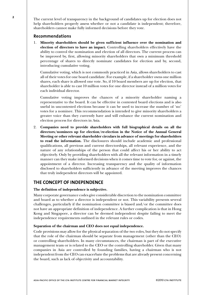**2** The current level of transparency in the background of candidates up for election does not help shareholders properly assess whether or not a candidate is independent; therefore, shareholders cannot make fully informed decisions before they vote.

#### **Recommendations**

1. **Minority shareholders should be given sufficient influence over the nomination and election of directors to have an impact.** Controlling shareholders effectively have the ability to control the nomination and election of all directors. The current process can be improved by, first, allowing minority shareholders that own a minimum threshold percentage of shares to directly nominate candidates for election and by, second, introducing cumulative voting.

Cumulative voting, which is not commonly practiced in Asia, allows shareholders to cast all of their votes for one board candidate. For example, if a shareholder owns one million shares, each share is allowed one vote. So, if 10 board members are up for election, that shareholder is able to cast 10 million votes for one director instead of a million votes for each individual director.

Cumulative voting improves the chances of a minority shareholder naming a representative to the board. It can be effective in contested board elections and is also useful in uncontested elections because it can be used to increase the number of 'no' votes for a nominee. This recommendation is intended to give minority shareholders a greater voice than they currently have and will enhance the current nomination and election process for directors in Asia.

2. **Companies need to provide shareholders with full biographical details on all the directors/nominees up for election/re-election in the Notice of the Annual General Meeting or other relevant shareholder circulars in advance of meetings for shareholders to read the information.** The disclosures should include academic and professional qualifications, all previous and current directorships, all relevant experience, and the nature of any relationships of the person that could affect his or her ability to act objectively. Only by providing shareholders with all the relevant information in a timely manner can they make informed decisions when it comes time to vote for, or against, the appointment of a director. Increasing transparency and the quality of information disclosed to shareholders sufficiently in advance of the meeting improves the chances that truly independent directors will be appointed.

## **THE CONCEPT OF INDEPENDENCE**

#### **The definition of independence is subjective.**

Many corporate governance codes give considerable discretion to the nomination committee and board as to whether a director is independent or not. This variability presents several challenges, particularly if the nomination committee is biased and/or the committee does not have an appropriate definition of independence. A further complication is that in Hong Kong and Singapore, a director can be deemed independent despite failing to meet the independence requirements outlined in the relevant rules or codes.

#### **Separation of the chairman and CEO does not equal independence.**

Code provisions may allow for the physical separation of the two roles, but they do not specify that the role of the chairman should be separate from management (other than the CEO) or controlling shareholders. In many circumstances, the chairman is part of the executive management team or is related to the CEO or the controlling shareholder. Given that many companies in Asia are controlled by founding families, having a chairman who is not independent from the CEO can exacerbate the problems that are already present concerning the board, such as lack of objectivity and accountability.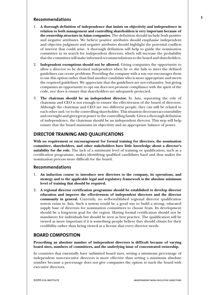#### **3**

#### **Recommendations**

- 1. **A thorough definition of independence that insists on objectivity and independence in relation to both management and controlling shareholders is very important because of the ownership structure in Asian companies.** The definition should include both positive and negative attributes. We believe positive attributes should emphasise independent and objective judgment and negative attributes should highlight the potential conflicts of interest that could arise. A thorough definition will help to guide the nomination committee in its search for independent directors, which will increase the probability that the committee will make informed recommendations to the board and shareholders.
- 2. **Independent exemptions should not be allowed.** Giving companies the opportunity to allow a director to be deemed independent when he or she fails to meet the defined guidelines can create problems. Providing the company with a way out encourages them to use this option rather than find another candidate who is more appropriate and meets the required guidelines. We appreciate that the guidelines are not exhaustive, but giving companies an opportunity to opt out does not promote compliance with the spirit of the code, nor does it ensure that shareholders are adequately protected.
- 3. **The chairman should be an independent director.** In Asia, separating the role of chairman and CEO is not enough to ensure the effectiveness of the board of directors. Although the chairman and CEO are two different people, they can still be related to each other and/or to the controlling shareholder. This situation decreases accountability and oversight and gives great power to the controlling family. Given a thorough definition of independence, the chairman should be an independent director. This step will help ensure that the board maintains its objectivity and an appropriate balance of power.

#### **DIRECTOR TRAINING AND QUALIFICATIONS**

**With no requirement or encouragement for formal training for directors, the nomination committee, shareholders, and other stakeholders have little knowledge about a director's suitability for the role.** The lack of a minimum level of training or qualification, such as a certification programme, makes identifying qualified candidates hard and thus makes the nomination process more difficult for the board.

#### **Recommendations**

- 1. **An induction course to introduce new directors to the company, its operations, and strategy and to the applicable legal and regulatory framework is the absolute minimum level of training that should be required.**
- 2. **A regional director certification programme should be established to develop director education and improve the effectiveness of independent directors and the director community in general.** Currently, no well-established regional director qualification system exists in Asia. Such a system would be a good way to build a strong, educated supply base of directors for nomination committees to choose from. Its development should be a long-term goal for the region. Having formal certification should not be mandatory for individuals but should be seen as best practice. The qualification will be viewed as more important if it is something people believe they should obtain for their credibility rather than being viewed as a license that every director needs.

#### **BOARD COMPOSITION**

**Prescribing an absolute number of independent directors is difficult because of varying board sizes, numbers of committees, and the underlying issue of concentrated ownership.** 

In countries that essentially have unlimited board sizes, setting a minimum percentage of independent non-executive directors is more effective than setting a minimum absolute number because a percentage does not give companies the option to stack the board with executive directors.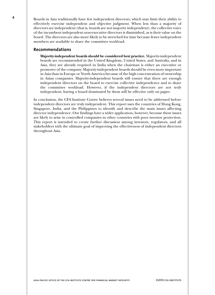**4** Boards in Asia traditionally have few independent directors, which may limit their ability to effectively exercise independent and objective judgment. When less than a majority of directors are independent (that is, boards are not majority independent), the collective voice of the incumbent independent non-executive directors is diminished, as is their value on the board. The directors are also more likely to be stretched for time because fewer independent members are available to share the committee workload.

#### **Recommendations**

**Majority-independent boards should be considered best practice.** Majority-independent boards are recommended in the United Kingdom, United States, and Australia, and in Asia, they are already required in India when the chairman is either an executive or promoter of the company. Majority-independent boards should be even more important in Asia than in Europe or North America because of the high concentration of ownership in Asian companies. Majority-independent boards will ensure that there are enough independent directors on the board to exercise collective independence and to share the committee workload. However, if the independent directors are not truly independent, having a board dominated by them will be effective only on paper.

In conclusion, the CFA Institute Centre believes several issues need to be addressed before independent directors are truly independent. This report uses the countries of Hong Kong, Singapore, India, and the Philippines to identify and describe the main issues affecting director independence. Our findings have a wider application, however, because these issues are likely to arise in controlled companies in other countries with poor investor protection. This report is intended to create further discussion among investors, regulators, and all stakeholders with the ultimate goal of improving the effectiveness of independent directors throughout Asia.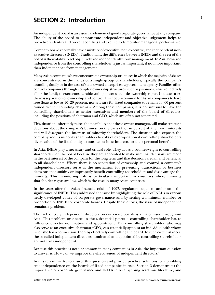## **SECTION 2: Introduction**

An independent board is an essential element of good corporate governance at any company. The ability of the board to demonstrate independent and objective judgement helps to proactively identify and prevent conflicts and to effectively monitor managerial performance.

Company boards normally have a mixture of executive, non-executive, and independent nonexecutive directors (INEDs). Traditionally, the difference between INEDs and the rest of the board is their ability to act objectively and independently from management. In Asia, however, independence from the controlling shareholder is just as important, if not more important, than independence from management.

Many Asian companies have concentrated ownership structures in which the majority of shares are concentrated in the hands of a single group of shareholders, typically the company's founding family or in the case of state-owned enterprises, a government agency. Families often control companies through complex ownership structures, such as pyramids, which effectively allow the family to exert considerable voting power with little ownership rights. In these cases, there is separation of ownership and control. It is not uncommon for Asian companies to have free floats as low as 10–20 percent, nor is it rare for listed companies to remain 40–60 percent owned by their founding chairman. Among these companies, it is not unusual to have the controlling shareholders as senior executives and members of the board of directors, including the positions of chairman and CEO, which are often not separated.

This situation inherently raises the possibility that these owner-managers will make strategic decisions about the company's business on the basis of, or in pursuit of, their own interests and will disregard the interests of minority shareholders. The situation also exposes the company and its minority shareholders to risks of expropriation if controlling shareholders divert value of the listed entity to outside business interests for their personal benefit.

In Asia, INEDs play a necessary and critical role. They act as a counterweight to controlling shareholders on the board because they are appointed to make sure that decisions are made in the best interest of the company for the long term and that decisions are fair and beneficial to all shareholders. Where there is no separation of ownership and control, a company's independent directors serve as the mechanism for preventing transactions or business decisions that unfairly or improperly benefit controlling shareholders and disadvantage the minority. This monitoring role is particularly important in countries where minority shareholder rights are low, which is the case in many Asian countries.

In the years after the Asian financial crisis of 1997, regulators began to understand the significance of INEDs. They addressed the issue by highlighting the role of INEDs in various newly developed codes of corporate governance and by setting a minimum number or proportion of INEDs for corporate boards. Despite these efforts, the issue of independence remains a problem.

The lack of truly independent directors on corporate boards is a major issue throughout Asia. This problem originates in the substantial power a controlling shareholder has to influence director nomination and appointment. The controlling shareholder, who may also serve as an executive chairman/CEO, can essentially appoint an individual with whom he or she has a connection, thereby effectively controlling the board. In such circumstances, the so-called independent directors nominated and appointed by controlling shareholders are not truly independent.

Because this practice is not uncommon in many companies in Asia, the important question to answer is: How can we improve the effectiveness of independent directors?

In this report, we try to answer this question and provide practical solutions for upholding true independence on the boards of listed companies in Asia. Section 3 demonstrates the importance of corporate governance and INEDs in Asia by using academic literature, and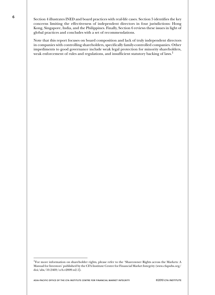**6** Section 4 illustrates INED and board practices with real-life cases. Section 5 identifies the key concerns limiting the effectiveness of independent directors in four jurisdictions: Hong Kong, Singapore, India, and the Philippines. Finally, Section 6 reviews these issues in light of global practices and concludes with a set of recommendations.

> Note that this report focuses on board composition and lack of truly independent directors in companies with controlling shareholders, specifically family-controlled companies. Other impediments to good governance include weak legal protection for minority shareholders, weak enforcement of rules and regulations, and insufficient statutory backing of laws.<sup>1</sup>

asia-pacific office of the cfa institute centre for financial market integrity ©2010 cfa institute

<sup>&</sup>lt;sup>1</sup>For more information on shareholder rights, please refer to the 'Shareowner Rights across the Markets: A Manual for Investors' published by the CFA Institute Centre for Financial Market Integrity (www.cfapubs.org/ doi/abs/10.2469/ccb.v2009.n2.1).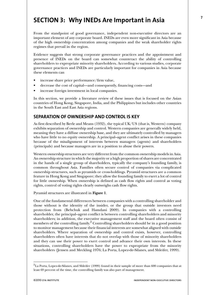## **SECTION 3: Why INEDs Are Important in Asia**

From the standpoint of good governance, independent non-executive directors are an important element of any corporate board. INEDs are even more significant in Asia because of the high ownership concentration among companies and the weak shareholder rights regimes that prevail in the region.

Evidence suggests that strong corporate governance practices and the appointment and presence of INEDs on the board can somewhat counteract the ability of controlling shareholders to expropriate minority shareholders**.** According to various studies, corporate governance practices and INEDs are particularly important for companies in Asia because these elements can

- increase share price performance/firm value,
- decrease the cost of capital—and consequently, financing costs—and
- increase foreign investment in local companies.

In this section, we provide a literature review of these issues that is focused on the Asian countries of Hong Kong, Singapore, India, and the Philippines but includes other countries in the South East and East Asia regions.

## **SEPARATION OF OWNERSHIP AND CONTROL IS KEY**

As first described by Berle and Means (1932), the typical UK/US (that is, Western) company exhibits separation of ownership and control. Western companies are generally widely held, meaning they have a diffuse ownership base, and they are ultimately controlled by managers who have little to no equity ownership. A principal–agent conflict arises in these companies because of the misalignment of interests between managers (agents) and shareholders (principals) and because managers are in a position to abuse their powers.

Western ownership structures are very different from the common ownership models in Asia. An ownership structure in which the majority or a high proportion of shares are concentrated in the hands of a single group of shareholders, typically the company's founding family, is common throughout Asia. Families often secure control of companies via complicated ownership structures, such as pyramids or cross-holdings. Pyramid structures are a common feature in Hong Kong and Singapore; they allow the founding family to exert a lot of control for little ownership. When ownership is defined as cash flow rights and control as voting rights, control of voting rights clearly outweighs cash flow rights.

Pyramid structures are illustrated in **Figure 1**.

One of the fundamental differences between companies with a controlling shareholder and those without is the identity of the insider, or the group that outside investors need protection from (Bebchuk and Hamdani 2009). In companies with a controlling shareholder, the principal–agent conflict is between controlling shareholders and minority shareholders; in addition, the executive management staff and the board often consist of members of the controlling family.<sup>2</sup> Controlling shareholders should be in a good position to monitor management because their financial interests are somewhat aligned with outside shareholders. Where separation of ownership and control exists, however, controlling shareholders often have interests that do not overlap with those of minority shareholders and they can use their power to exert control and advance their own interests. In these situations, controlling shareholders have the power to expropriate from the minority shareholders (Jensen and Meckling 1976; La Porta, Lopez-de-Silanes, and Shleifer, 1999).

 $^{2}$ La Porta, Lopez-de-Silanes, and Shleifer (1999) found in their sample of more than 600 companies that at least 69 percent of the time, the controlling family was also part of management.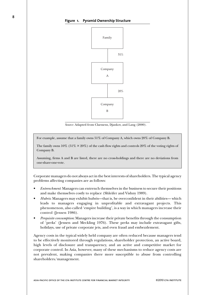

*Source*: Adapted from Claessens, Djankov, and Lang (2000).

For example, assume that a family owns 51% of Company A, which owns 20% of Company B.

The family owns  $10\%$  (51%  $\times$  20%) of the cash flow rights and controls  $20\%$  of the voting rights of Company B.

Assuming, firms A and B are listed, there are no cross-holdings and there are no deviations from one-share-one-vote.

Corporate managers do not always act in the best interests of shareholders. The typical agency problems affecting companies are as follows:

- *Entrenchment*: Managers can entrench themselves in the business to secure their positions and make themselves costly to replace (Shleifer and Vishny 1989).
- *Hubris*: Managers may exhibit hubris—that is, be overconfident in their abilities— which leads to managers engaging in unprofitable and extravagant projects. This phenomenon, also called 'empire building', is a way in which managers increase their control (Jensen 1986).
- *Perquisite consumption*: Managers increase their private benefits through the consumption of 'perks' (Jensen and Meckling 1976). These perks may include extravagant gifts, holidays, use of private corporate jets, and even fraud and embezzlement.

Agency costs in the typical widely held company are often reduced because managers tend to be effectively monitored through regulations, shareholder protection, an active board, high levels of disclosure and transparency, and an active and competitive market for corporate control. In Asia, however, many of these mechanisms to reduce agency costs are not prevalent, making companies there more susceptible to abuse from controlling shareholders/management.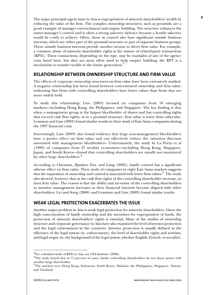The major principal–agent issue in Asia is expropriation of minority shareholders' wealth by reducing the value of the firm. The complex ownership structures, such as pyramids, are a good example of manager entrenchment and empire building. The structure enhances the owner-manager's control and is often a strong takeover defence because a hostile takeover would be costly to achieve. Often, those in control also have significant outside business interests, which are either part of the pyramid structure or part of separate business groups. These outside business interests provide another avenue to divert firm value. For example, a common abuse of minority shareholder rights is the misuse of related-party transactions (RPTs). These transactions, depending on the type, may be examples of any of the agency costs listed here, but they are most often used to help empire building; the RPT is a mechanism to transfer wealth to the future generation.<sup>3</sup>

## **RELATIONSHIP BETWEEN OWNERSHIP STRUCTURE AND FIRM VALUE**

The effects of corporate ownership structures on firm value have been extensively studied. A negative relationship has been found between concentrated ownership and firm value, indicating that firms with controlling shareholders have lower values than firms that are more widely held.

To study this relationship, Lins (2003) focused on companies from 18 emerging markets—including Hong Kong, the Philippines, and Singapore. The key finding is that when a management group is the largest blockholder of shares and has controlling rights that exceed cash flow rights, as in a pyramid structure, firm value is lower than otherwise. Lemmon and Lins (2003) found similar results in their study of East Asian companies during the 1997 financial crisis.

Interestingly, Lins (2003) also found evidence that large non-management blockholders have a *positive* effect on firm value and can effectively reduce the valuation discount associated with management blockholders. Unfortunately, the study by La Porta et al (1999) of companies from 27 wealthy economies—including Hong Kong, Singapore, Japan, and South Korea—found that controlling shareholders are usually not monitored by other large shareholders.<sup>4</sup>

According to Claessans, Djankov, Fan, and Lang (2002), family control has a significant adverse effect on firm value. Their study of companies in eight East Asian markets suggests that the separation of ownership and control is associated with lower firm values.<sup>5</sup> The study also showed, however, that as the cash flow rights of the controlling shareholder increase, so does firm value. The reason is that the ability and incentive of the controlling shareholders to monitor management increases as their financial interests become aligned with other shareholders. Lei and Song (2008) and Lemmon and Lins (2003) found similar results.

## **WEAK LEGAL PROTECTION EXACERBATES THE ISSUE**

Another major problem in Asia is weak legal protection for minority shareholders. Given the high concentration of family ownership and the incentives for expropriation of funds, the protection of minority shareholders' rights is essential. Many of the studies of ownership structure and corporate governance in Asia have also examined the level of investor protection and the legal environment in the countries. Investor protection is usually defined as the efficiency of the legal system (ie, enforcement), the level of shareholder rights and activism, and legal origin (ie, the background of the legal system, whether English, French, or socialist).

 ${}^{3}$ For a detailed study of RPTs in Asia, see CFA Institute (2009).<br><sup>4</sup>The study found that in 71 percent of cases, family controlling shareholders do not share power with another large shareholder.

<sup>5</sup>The markets were Hong Kong, Indonesia, South Korea, Malaysia, the Philippines, Singapore, Taiwan, and Thailand.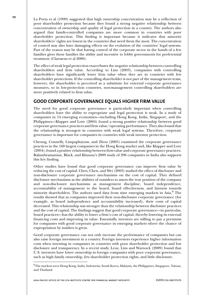**10** La Porta et al (1999) suggested that high ownership concentration may be a reflection of poor shareholder protection because they found a strong negative relationship between concentration of ownership and quality of legal protection in a country. The authors also argued that family-controlled companies are more common in countries with poor shareholder protection. This finding is important because it indicates that minority shareholders' rights are lowest in the countries that need them the most. The concentration of control may also have damaging effects on the evolution of the countries' legal systems. Part of the reason may be that having control of the corporate sector in the hands of a few families gives these families the ability and incentive to lobby governments for preferential treatment (Claessens et al 2000).

> The effect of weak legal protection exacerbates the negative relationship between controlling shareholders and firm value. According to Lins (2003), companies with controlling shareholders have significantly lower firm value when they are in countries with few shareholder protections. If the controlling shareholder is not part of the management team, however, the shareholder is perceived as a substitute for external corporate governance measures, so in low-protection countries, non-management controlling shareholders are more positively related to firm value.

## **GOOD CORPORATE GOVERNANCE EQUALS HIGHER FIRM VALUE**

The need for good corporate governance is particularly important when controlling shareholders have the ability to expropriate and legal protection is weak. In a study of companies in 14 emerging economies—including Hong Kong, India, Singapore, and the Philippines—Klapper and Love (2004) found a strong positive relationship between good corporate governance practices and firm value/operating performance. They also found that the relationship is strongest in countries with weak legal systems. Therefore, corporate governance is important for companies in countries with weak investor protection.

Cheung, Connelly, Limpaphayom, and Zhou (2005) examined the corporate governance practices in the 168 largest companies in the Hong Kong market and, like Klapper and Love (2004), found a positive relationship between firm value and corporate governance practices. Balasubramanian, Black, and Khanna's 2009 study of 296 companies in India also supports this key finding.

Other studies have found that good corporate governance can improve firm value by reducing the cost of capital. Chen, Chen, and Wei (2003) studied the effect of disclosure and non-disclosure corporate governance mechanisms on the cost of capital. They defined disclosure mechanisms as the abilities of outsiders to assess the true position of the company and non-disclosure mechanisms as management discipline, board independence, accountability of management to the board, board effectiveness, and fairness towards minority shareholders. The authors used data from nine emerging markets in Asia.<sup>6</sup> The results showed that as companies improved their non-disclosure corporate governance (for example, as board independence and accountability increased), their costs of capital decreased. This relationship was stronger than the relationship between disclosure practices and the cost of capital. The findings suggest that good corporate governance—in particular, board practices—has the ability to lower a firm's cost of capital, thereby lowering its external financing costs and improving its value. Essentially, investors are willing to pay a premium for companies with good corporate governance in emerging markets where the chance of expropriation by insiders is great.

Good corporate governance can not only increase the performance of companies but can also raise foreign investment in a country. Foreign investors experience higher information costs when investing in companies in countries with poor shareholder protection and low disclosure and transparency. In a recent study, Leuz, Lins and Warnock (2009) found that U.S. investors have lower ownership in foreign companies with poor corporate governance, such as high family ownership, few shareholder protection rights, and little disclosure.

 $^6$ The markets were Hong Kong, India, Indonesia, South Korea, Malaysia, the Philippines, Singapore, Taiwan, and Thailand.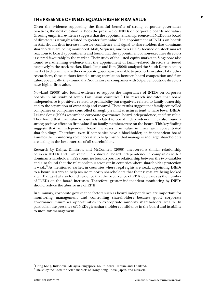## **THE PRESENCE OF INEDS EQUALS HIGHER FIRM VALUE**

Given the evidence supporting the financial benefits of strong corporate governance practices, the next question is: Does the presence of INEDs on corporate boards add value? Growing empirical evidence suggests that the appointment and presence of INEDs on a board of directors is strongly related to greater firm value. The appointment of INEDs on boards in Asia should thus increase investor confidence and signal to shareholders that dominant shareholders are being monitored. Mak, Sequeira, and Yeo (2003) focused on stock market reactions to board appointments and found that the appointment of non-executive directors is viewed favourably by the market. Their study of the listed equity market in Singapore also found overwhelming evidence that the appointment of family-related directors is viewed negatively by the stock market. Black, Jang, and Kim (2006) analysed the South Korean equity market to determine whether corporate governance was able to predict firm value. Like other researchers, these authors found a strong correlation between board composition and firm value. Specifically, they found that South Korean companies with 50 percent outside directors have higher firm value.

Nowland (2008) also found evidence to support the importance of INEDs on corporate boards in his study of seven East Asian countries.<sup>7</sup> His research indicates that board independence is positively related to profitability but negatively related to family ownership and to the separation of ownership and control. These results suggest that family-controlled companies or companies controlled through pyramid structures tend to have fewer INEDs. Lei and Song (2008) researched corporate governance, board independence, and firm value. They found that firm value is positively related to board independence. They also found a strong positive effect on firm value if no family members were on the board. This key finding suggests that an independent board increases firm value in firms with concentrated shareholdings. Therefore, even if companies have a blockholder, an independent board assumes the monitoring role necessary to help ensure that managers and large shareholders are acting in the best interests of all shareholders.

Research by Dahya, Dimitrov, and McConnell (2006) uncovered a similar relationship between INEDs and firm value. This study of board independence in companies with a dominant shareholder in 22 countries found a positive relationship between the two variables and also found that the relationship is stronger in countries where shareholder protection is weak.<sup>8</sup> As mentioned earlier, in countries where legal rights are weak, appointing INEDs to a board is a way to help assure minority shareholders that their rights are being looked after. Dahya et al also found evidence that the occurrence of RPTs decreases as the number of INEDs on the board increases. Therefore, greater independent monitoring by INEDs should reduce the abusive use of RPTs.

In summary, corporate governance factors such as board independence are important for monitoring management and controlling shareholders because good corporate governance minimises opportunities to expropriate minority shareholders' wealth. In particular, the presence of INEDs gives shareholders confidence in the board and its ability to monitor management.

<sup>&</sup>lt;sup>7</sup>Hong Kong, Indonesia, Malaysia, Singapore, South Korea, Taiwan, and Thailand.

 ${}^{8}$ The study included the Asian markets of Hong Kong, India, Japan, and Malaysia.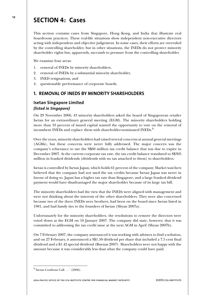## **<sup>12</sup> SECTION 4: Cases**

This section contains cases from Singapore, Hong Kong, and India that illustrate real boardroom practices. These real-life situations show independent non-executive directors acting with independent and objective judgement. In some cases, their efforts are overruled by the controlling shareholder, but in other situations, the INEDs do not protect minority shareholder rights but, apparently, succumb to pressure from the controlling shareholder.

We examine four areas:

- 1. removal of INEDs by minority shareholders,
- 2. removal of INEDs by a substantial minority shareholder,
- 3. INED resignations, and
- 4. questionable performance of corporate boards.

## **1. REMOVAL OF INEDS BY MINORITY SHAREHOLDERS**

## **Isetan Singapore Limited** *(listed in Singapore)*

On 29 November 2006, 43 minority shareholders asked the board of Singaporean retailer Isetan for an extraordinary general meeting (EGM). The minority shareholders holding more than 10 percent of issued capital wanted the opportunity to vote on the removal of incumbent INEDs and replace them with shareholder-nominated INEDs.<sup>9</sup>

Over the years, minority shareholders had raised several concerns at annual general meetings (AGMs), but these concerns were never fully addressed. The major concern was the company's reluctance to use the S\$60 million tax credit balance that was due to expire in December 2007. At the current corporate tax rate, the tax credit balance translated to S\$305 million in franked dividends (dividends with no tax attached to them) to shareholders.

Isetan is controlled by Isetan Japan, which holds 61 percent of the company. Market watchers believed that the company had not used the tax credits because Isetan Japan was never in favour of doing so. Japan has a higher tax rate than Singapore, and a large franked dividend payment would have disadvantaged the major shareholder because of its large tax bill.

The minority shareholders had the view that the INEDs were aligned with management and were not thinking about the interests of the other shareholders. They were also concerned because two of the three INEDs were brothers, had been on the board since Isetan listed in 1981, and had family ties to the founders of Isetan (Shyan 2007a).

Unfortunately for the minority shareholders, the resolutions to remove the directors were voted down at the EGM on 10 January 2007. The company did state, however, that it was committed to addressing the tax credit issue at the next AGM in April (Shyan 2007b).

On 7 February 2007, the company announced it was working with advisers to find a solution, and on 27 February, it announced a S\$1.50 dividend per share that included a 7.5 cent final dividend and a \$1.42 special dividend (Buenas 2007). Shareholders were not happy with the amount because it was considerably less than what the company could have paid.

 $9$ <sup>o</sup>'Isetan Confirms Call . . .' (2006).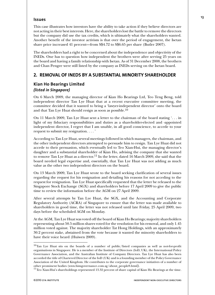#### **Issues**

This case illustrates how investors have the ability to take action if they believe directors are not acting in their best interests. Here, the shareholders lost the battle to remove the directors but the company did use the tax credits, which is ultimately what the shareholders wanted. Another benefit of the investor activism is that over the period of engagement, the Isetan share price increased 41 percent—from S\$4.72 to S\$6.65 per share (Butler 2007).

The shareholders had a right to be concerned about the independence and objectivity of the INEDs. One has to question how independent the brothers were after serving 25 years on the board and having a family relationship with Isetan. As of 31 December 2008, the brothers and Chan Pengee were still listed by the company as INEDs serving on the Isetan board.

### **2. REMOVAL OF INEDS BY A SUBSTANTIAL MINORITY SHAREHOLDER**

## **Kian Ho Bearings Limited** *(listed in Singapore)*

On 6 March 2009, the managing director of Kian Ho Bearings Ltd, Teo Teng Beng, told independent director Tan Lye Huat that at a recent executive committee meeting, the committee decided that it wanted to bring a 'lawyer-independent director' onto the board and that Tan Lye Huat should resign as soon as possible.10

On 11 March 2009, Tan Lye Huat sent a letter to the chairman of the board stating '. . . in light of my fiduciary responsibilities and duties as a shareholder-elected and -appointed independent director, I regret that I am unable, in all good conscience, to accede to your request to submit my resignation. . . . '

According to Tan Lye Huat, several meetings followed in which managers, the chairman, and the other independent directors attempted to persuade him to resign. Tan Lye Huat did not accede to their persuasion, which eventually led to Teo Xian-Hui, the managing director's daughter and a substantial shareholder of Kian Ho, advising the company that she wanted to remove Tan Lye Huat as a director.<sup>11</sup> In the letter, dated 16 March 2009, she said that the board needed legal expertise and, essentially, that Tan Lye Huat was not adding as much value as the other two independent directors on the board.

On 13 March 2009, Tan Lye Huat wrote to the board seeking clarification of several issues regarding the request for his resignation and detailing his reasons for not acceding to the request for resignation. Tan Lye Huat specifically requested that the letter be released to the Singapore Stock Exchange (SGX) and shareholders before 17 April 2009 to give the public time to review the information before the AGM on 27 April 2009.

After several attempts by Tan Lye Huat, the SGX, and the Accounting and Corporate Regulatory Authority (ACRA) of Singapore to ensure that the letter was made available to shareholders in good time, the letter was not released until late Friday, 25 April 2009, two days before the scheduled AGM on Monday.

At the AGM, Tan Lye Huat was voted off the board of Kian Ho Bearings; majority shareholders representing about 50.5 million shares voted for the resolution for his removal, and only 1.45 million voted against. The majority shareholder Tat Hong Holdings, with an approximately 30.2 percent stake, abstained from the vote because it wanted the minority shareholders to have their voice heard (Huiwen 2009).

<sup>10</sup>Tan Lye Huat sits on the boards of a number of public/listed companies as well as not-for-profit organisations in Singapore. He is a member of the Institute of Directors (IoD, UK), the International Policy Governance Association, and the Australian Institute of Company Directors. Tan Lye Huat has also been accorded the title of Chartered Director of the IoD (UK) and is a founding member of the Policy Governance Association of the United Kingdom. He contributes to the corporate governance initiatives of a number of other prominent bodies (www.himgovernance.com.sg/about\_people8.html).

<sup>&</sup>lt;sup>11</sup>Teo Xian-Hui's shareholdings represented 13.32 percent of share capital of Kian Ho Bearings at the time.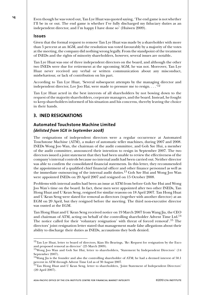**14** Even though he was voted out, Tan Lye Huat was quoted saying, 'The end game is not whether I'll be in or out. The end game is whether I've fully discharged my fiduciary duties as an independent director, and I'm happy I have done so' (Huiwen 2009).

#### **Issues**

Given that the formal request to remove Tan Lye Huat was made by a shareholder with more than 5 percent at an AGM, and the resolution was voted favourably by a majority of the votes at the meeting, the company did nothing wrong legally. From the standpoint of the treatment of INEDs and the rights of minority shareholders, however, several issues are notable**.**

Tan Lye Huat was one of three independent directors on the board, and although the other two INEDs were due for retirement at the upcoming AGM, he was not. Moreover, Tan Lye Huat never received any verbal or written communication about any misconduct, misbehaviour, or lack of contribution on his part.

According to Tan Lye Huat, 'Several subsequent attempts by the managing director and independent director, Lee Joo Hai, were made to pressure me to resign.  $\ldots$ <sup>12</sup>

Tan Lye Huat acted in the best interests of all shareholders by not bowing down to the request of the majority shareholders, corporate managers, and the board. Instead, he fought to keep shareholders informed of his situation and his concerns, thereby leaving the choice in their hands.

## **3. INED RESIGNATIONS**

## **Automated Touchstone Machine Limited** *(delisted from SGX in September 2008)*

The resignations of independent directors were a regular occurrence at Automated Touchstone Machine (ATM), a maker of automatic teller machines, during 2007 and 2008. INEDs Wong Joo Wan, the chairman of the audit committee, and Goh Sze Hui, a member of the audit committee, announced their intention to resign in September 2007. The two directors issued a joint statement that they had been unable to review the effectiveness of the company's internal controls because no internal audit had been carried out. Neither director was able to confirm the consolidated financial statements. In this letter, they recommended the appointment of a qualified chief financial officer and other finance personnel as well as the immediate outsourcing of the internal audit duties.13 Goh Sze Hui and Wong Joo Wan were appointed INEDs on 20 April 2007 and resigned on 15 October 2008.

Problems with internal audits had been an issue at ATM from before Goh Sze Hui and Wong Joo Wan's time on the board. In fact, these men were appointed after two other INEDs, Tan Hong Huat and U Kean Seng, resigned for similar reasons on 18 April 2007. Tan Hong Huat and U Kean Seng were slated for removal as directors (together with another director) at an EGM on 20 April, but they resigned before the meeting. The third non-executive director was ousted at the EGM.

Tan Hong Huat and U Kean Seng received notice on 19 March 2007 from Wang Jia, the CEO and chairman of ATM, acting on behalf of the controlling shareholder Advent Time Ltd.<sup>14</sup> The notice called for their 'voluntary resignation' with threat of forced removal'.15 The directors' joint resignation letter stated that management made false allegations about their ability to discharge their duties as INEDs, accusations they both denied.

<sup>&</sup>lt;sup>12</sup>Tan Lye Huat, letter to board of directors, Kian Ho Bearings, 'Re: Request for resignation by the Exco and proposed removal as director' (25 March 2009).

<sup>&</sup>lt;sup>13</sup>Wong Joo Wan and Goh Sze Hui, letter to shareholders, 'Statement by Independent Directors' (14 September 2007).

 $14$ Wang Jia is the founder and also the controlling shareholder of ATM; he had a deemed interest of 50.1 percent in ATM through Advent Time Ltd as of 30 August 2007.

<sup>&</sup>lt;sup>15</sup>Tan Hong Huat and U Kean Seng, letter to shareholders, 'Joint Statement of Independent Directors' (20 April 2007).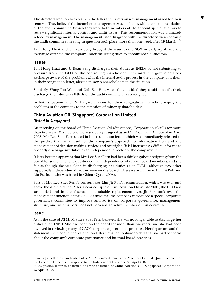The directors went on to explain in the letter their views on why management asked for their removal. They believed the incumbent management was not happy with the recommendation of the audit committee (which they were both members of) to appoint special auditors to review significant internal control and audit issues. This recommendation was ultimately vetoed by management. The management later disagreed with the directors' views because the audit committee meeting in question took place more than one week after 19 March.<sup>16</sup>

Tan Hong Huat and U Kean Seng brought the issue to the SGX in early April, and the exchange directed the company under the listing rules to appoint special auditors.

#### **Issues**

Tan Hong Huat and U Kean Seng discharged their duties as INEDs by not submitting to pressure from the CEO or the controlling shareholder. They made the governing stock exchange aware of the problems with the internal audit process in the company and then, in their resignation letter, alerted minority shareholders to the situation.

Similarly, Wong Joo Wan and Goh Sze Hui, when they decided they could not effectively discharge their duties as INEDs on the audit committee, also resigned.

In both situations, the INEDs gave reasons for their resignations, thereby bringing the problems in the company to the attention of minority shareholders.

## **China Aviation Oil (Singapore) Corporation Limited** *(listed in Singapore)*

After serving on the board of China Aviation Oil (Singapore) Corporation (CAO) for more than two years, Mrs Lee Suet Fern suddenly resigned as an INED on the CAO board in April 2008. Mrs Lee Suet Fern stated in her resignation letter, which was immediately released to the public, that 'as a result of the company's approach to information flow and the management of decision-making, review, and oversight, [it is] increasingly difficult for me to properly discharge my duties as an independent director of the company'.17

It later became apparent that Mrs Lee Suet Fern had been thinking about resigning from the board for some time. She questioned the independence of certain board members, and she felt as though she was alone in discharging her duties as an INED, although two other supposedly independent directors were on the board. These were chairman Lim Jit Poh and Liu Fuchun, who was based in China (Quah 2008).

Part of Mrs Lee Suet Fern's concern was Lim Jit Poh's remuneration, which was over and above the director's fee. After a near collapse of Civil Aviation Oil in late 2004, the CEO was suspended and in the absence of a suitable replacement, Lim Jit Poh took over the management function of the CEO. At this time, the company introduced a special corporate governance committee to improve and advise on corporate governance, management structure, and systems. Mrs Lee Suet Fern was an active member of this committee.

#### **Issue**

As in the case of ATM, Mrs Lee Suet Fern believed she was no longer able to discharge her duties as an INED. She had been on the board for more than two years, and she had been involved in reviewing many of CAO's corporate governance practices. Her departure and the statement she made in her resignation letter signalled to shareholders that she had concerns about the company's corporate governance and internal board practices.

<sup>16</sup>Wang Jia, letter to shareholders of ATM, 'Automated Touchstone Machines Limited—Joint Statement of the Executive Directors in Response to the Independent Directors' (20 April 2007).

<sup>&</sup>lt;sup>17</sup> Resignation letter to chairman and vice-chairman of China Aviation Oil (Singapore) Corporation, 23 April 2008.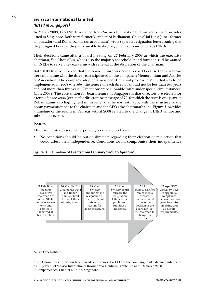## **<sup>16</sup> Swissco International Limited** *(listed in Singapore)*

In March 2008, two INEDs resigned from Swissco International, a marine service provider listed in Singapore. Both were former Members of Parliament. Chiang Hai Ding (also a former ambassador) and Rohan Kamis (an accountant) wrote separate resignation letters stating that they resigned because they were unable to discharge their responsibilities as INEDs.

Their decisions came after a board meeting on 27 February 2008 at which the executive chairman, Yeo Chong Lin, who is also the majority shareholder and founder, said he wanted all INEDs to serve one-year terms with renewal at the discretion of the chairman.<sup>18</sup>

Both INEDs were shocked that the board tenure was being revised because the new terms were not in line with the three years stipulated in the company's Memorandum and Articles of Association. The company adopted a new board renewal process in 2006 that was to be implemented in 2008 whereby 'the tenure of each director should not be less than two years and not more than five years'. Exceptions were allowable 'only under special circumstances' (Loh 2008). The convention for board tenure in Singapore is that directors are elected for a term of three years (except for directors over the age of 70, for which the term is one year).<sup>19</sup> Rohan Kamis also highlighted in his letter that he was not happy with the structure of the bonus payments made to the chairman and the CEO (the chairman's son). **Figure 2** provides a timeline of the events in February–April 2008 related to the change in INED tenure and subsequent events.

#### **Issues**

This case illustrates several corporate governance problems:

• No conditions should be put on directors regarding their election or re-election that could affect their independence. Conditions would compromise their independence



#### **Figure 2. Timeline of Events from February 2008 to April 2008**

18Yeo Chong Lin and his son Yeo Kian Alex (who was also CEO of the company) had a deemed interest of 54.91 percent of Swissco International through Yeo Holdings Private Ltd as of 18 March 2008. 19Companies Act, Chapter 50, s153, Singapore.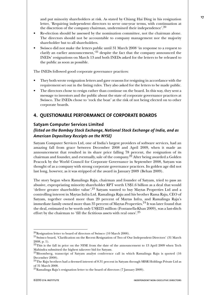and put minority shareholders at risk. As stated by Chiang Hai Ding in his resignation letter, 'Requiring independent directors to serve one-year terms, with continuation at the discretion of the company chairman, undermined their independence'.<sup>20</sup>

- Re-election should be assessed by the nomination committee, not the chairman alone. The directors should not be accountable to company management nor the majority shareholder but to all shareholders.
- Swissco did not make the letters public until 31 March 2008 'in response to a request to clarify an earlier announcement,<sup>21</sup> despite the fact that the company announced the INEDs' resignations on March 13 and both INEDs asked for the letters to be released to the public as soon as possible.

The INEDs followed good corporate governance practices:

- They both wrote resignation letters and gave reasons for resigning in accordance with the requirement set out in the listing rules. They also asked for the letters to be made public.
- The directors chose to resign rather than continue on the board. In this way, they sent a message to investors and the public about the state of corporate governance practices at Swissco. The INEDs chose to 'rock the boat' at the risk of not being elected on to other corporate boards.

## **4. QUESTIONABLE PERFORMANCE OF CORPORATE BOARDS**

### **Satyam Computer Services Limited**

### *(listed on the Bombay Stock Exchange, National Stock Exchange of India, and as American Depositary Receipts on the NYSE)*

Satyam Computer Services Ltd, one of India's largest providers of software services, had an amazing fall from grace between December 2008 and April 2009, when it made an announcement that resulted in its share price falling 78 percent, the resignation of its chairman and founder, and eventually, sale of the company.22 After being awarded a Golden Peacock by the World Council for Corporate Governance in September 2008, Satyam was thought of as a company with strong corporate governance practices. Its golden age did not last long, however, as it was stripped of the award in January 2009 (Behan 2009).

The story began when Ramalinga Raju, chairman and founder of Satyam, tried to pass an abusive, expropriating minority shareholder RPT worth US\$1.6 billion as a deal that would 'deliver greater shareholder value'.23 Satyam wanted to buy Maytas Properties Ltd and a controlling interest in Maytas Infra Ltd. Ramalinga Raju and his brother Rama Raju, CEO of Satyam, together owned more than 20 percent of Maytas Infra, and Ramalinga Raju's immediate family owned more than  $35$  percent of Maytas Properties. $^{24}$  It was later found that the deal, estimated to be worth only US\$225 million (Fontanella-Khan 2009), was a last-ditch effort by the chairman to 'fill the fictitious assets with real ones'.<sup>25</sup>

 $^{20}\rm{Resignation}$  letter to board of directors of Swissco (10 March 2008).

<sup>21</sup>Swissco board, 'Clarification on the Recent Resignation of Two of Our Independent Directors' (31 March 2008, p. 1).

 $22$ This is the fall in price on the NYSE from the date of the announcement to 13 April 2009 when Tech Mahindra submitted the highest takeover bid for Satyam.

<sup>&</sup>lt;sup>23</sup>Bloomberg, transcript of Satyam analyst conference call in which Ramalinga Raju is quoted (16 December 2008).

 $^{24}$ The Raju brothers had a deemed interest of 8.31 percent in Satyam through SRSR Holdings Private Ltd as of 31 March 2008.

 $^{25}$ Ramalinga Raju's resignation letter to the board of directors (7 January 2009).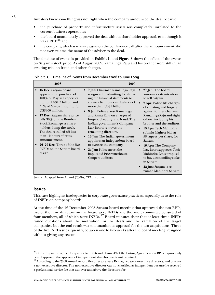**18** Investors knew something was not right when the company announced the deal because

- the purchase of property and infrastructure assets was completely unrelated to the current business operations;
- the board unanimously approved the deal without shareholder approval, even though it was a RPT; $^{26}$  and
- the company, which was very evasive on the conference call after the announcement, did not even release the name of the adviser to the deal.

The timeline of events is provided in **Exhibit 1**, and **Figure 3** shows the effect of the events on Satyam's stock price. As of August 2009, Ramalinga Raju and his brother were still in jail awaiting trial on fraud and other charges.

| 2008                                                                                                                                                                                                                                                                                                                                                                                                                                                   | 2009                                                                                                                                                                                                                                                                                                                                                                                                                                                                                                                                                          |                                                                                                                                                                                                                                                                                                                                                                                                                                                                                                                     |
|--------------------------------------------------------------------------------------------------------------------------------------------------------------------------------------------------------------------------------------------------------------------------------------------------------------------------------------------------------------------------------------------------------------------------------------------------------|---------------------------------------------------------------------------------------------------------------------------------------------------------------------------------------------------------------------------------------------------------------------------------------------------------------------------------------------------------------------------------------------------------------------------------------------------------------------------------------------------------------------------------------------------------------|---------------------------------------------------------------------------------------------------------------------------------------------------------------------------------------------------------------------------------------------------------------------------------------------------------------------------------------------------------------------------------------------------------------------------------------------------------------------------------------------------------------------|
| <b>16 Dec:</b> Satyam board<br>$\bullet$<br>approves the purchase of<br>100% of Maytas Properties<br>Ltd for US\$1.3 billion and<br>51% of Maytas Infra Ltd for<br>US\$300 million.<br>17 Dec: Satyam share price<br>falls 30% on the Bombay<br>Stock Exchange as share-<br>holders dump the stock.<br>The deal is called off less<br>than 12 hours after its<br>announcement.<br>26–29 Dec: Three of the five<br>INEDs on the Satyam board<br>resign. | <b>7 Jan:</b> Chairman Ramalinga Raju<br>resigns after admitting to falsify-<br>ing the financial statements to<br>create a fictitious cash balance of<br>more than US\$1 billion.<br>9 Jan: Police arrest Ramalinga<br>and Rama Raju on charges of<br>forgery, cheating, and fraud. The<br>Indian government's Company<br>Law Board removes the<br>remaining directors.<br>16 Jan: The Indian government<br>appoints an independent board<br>to oversee the company.<br><b>24 Jan:</b> Police arrest the<br>implicated Pricewaterhouse-<br>Coopers auditors. | 27 Jan: The board<br>announces its intention<br>to sell Satyam.<br><b>7 Apr:</b> Police file charges<br>of cheating and forgery<br>against former chairman<br>Ramalinga Raju and eight<br>others, including his<br>brother and the auditors.<br>13 Apr: Tech Mahindra<br>submits highest bid, at<br>58 rupees per share, for<br>Satyam.<br>16 Apr: The Company<br>Law Board approves Tech<br>Mahindra Ltd's proposal<br>to buy a controlling stake<br>in Satyam.<br>22 Jun: Satyam is re-<br>named Mahindra Satyam. |

**Exhibit 1. Timeline of Events from December 2008 to June 2009**

*Sources*: Adapted from Anand (2009); CFA Institute.

#### **Issues**

This case highlights inadequacies in corporate governance practices, especially as to the role of INEDs on company boards.

At the time of the 16 December 2008 Satyam board meeting that approved the two RPTs, five of the nine directors on the board were INEDs and the audit committee consisted of four members, all of which were INEDs.<sup>27</sup> Board minutes show that at least three INEDs raised questions about the motivation for the deals and the valuation of the target companies, but the end result was still unanimous approval for the two acquisitions. Three of the five INEDs subsequently, between one to two weeks after the board meeting, resigned without giving any reason.

 $^{26}$ Currently, in India, the Companies Act 1956 and Clause 49 of the Listing Agreement on RPTs require only board approval; the approval of independent shareholders is not required.

<sup>&</sup>lt;sup>27</sup>According to the 2008 annual report, five directors were INEDs, two were executive directors, and one was a non-executive director. The non-executive director was not classified as independent because he received a professional service fee that was over and above the director's fee.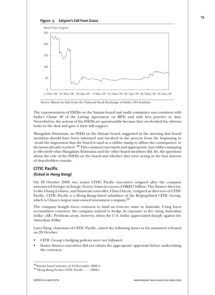



*Sources*: Based on data from the National Stock Exchange of India; CFA Institute.

The representation of INEDs on the Satyam board and audit committee was consistent with India's Clause 49 of the Listing Agreement on RPTs and with best practice in Asia. Nevertheless, the actions of the INEDs are questionable because they overlooked the obvious holes in the deal and gave it their full support.

Mangalam Srinivasan, an INED on the Satyam board, suggested in the meeting that board members should have been informed and involved in the process from the beginning to 'avoid the impression that the board is used as a rubber stamp to affirm the consequence or decisions already reached'.<sup>28</sup> This comment was timely and appropriate, but rubber stamping is effectively what Mangalam Srinivasan and the other board members did. So, the questions about the role of the INEDs on the board and whether they were acting in the best interest of shareholders remain.

## **CITIC Pacific** *(listed in Hong Kong)*

On 20 October 2008, two senior CITIC Pacific executives resigned after the company announced foreign exchange (forex) losses in excess of HK\$15 billion. The finance director, Leslie Chang Li-hsien, and financial controller, Chau Chi-yin, resigned as directors of CITIC Pacific. CITIC Pacific is a Hong Kong–listed subsidiary of the Beijing-listed CITIC Group, which is China's largest state-owned investment company.<sup>29</sup>

The company bought forex contracts to fund an iron-ore mine in Australia. Using forex accumulator contracts, the company wanted to hedge its exposure to the rising Australian dollar (A\$). Problems arose, however, when the U.S. dollar appreciated sharply against the Australian dollar.

Larry Yung, chairman of CITIC Pacific, raised the following issues in his statement released on 20 October:

- CITIC Group's hedging policies were not followed.
- Senior finance executives did not obtain the appropriate approvals before undertaking the contracts.

<sup>28</sup>Satyam board minutes of 16 December 2008:4.

<sup>29&#</sup>x27;Hong Kong Probes CITIC Pacific . . .' (2008).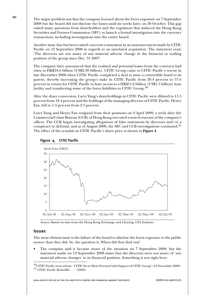**20** The major problem was that the company learned about the forex exposure on 7 September 2008 but the board did not disclose the losses until six weeks later, on 20 October. This gap raised many questions from shareholders and the regulators that induced the Hong Kong Securities and Futures Commission (SFC) to launch a formal investigation into the currency transactions, including investigations into the entire board.

> Another issue that has been raised concerns a statement in an announcement made by CITIC Pacific on 12 September 2008 in regards to an unrelated acquisition. The statement read, 'The directors are not aware of any material adverse change in the financial or trading position of the group since Dec. 31 2007'.

> The company later announced that the realised and potential losses from the contracts had risen to HK\$18.6 billion (US\$2.38 billion). CITIC Group came to CITIC Pacific's rescue in late December 2008 when CITIC Pacific completed a deal to issue a convertible bond to its parent, thereby increasing the group's stake in CITIC Pacific from 29.4 percent to 57.6 percent in return for CITIC Pacific to have access to a HK\$11.6 billion (US\$1.5 billion) loan facility and transferring some of the forex liabilities to CITIC Group.<sup>30</sup>

> After the share conversion, Larry Yung's shareholdings in CITIC Pacific were diluted to 11.5 percent from 18.4 percent and the holdings of the managing director of CITIC Pacific, Henry Fan, fell to 1.4 percent from 2.3 percent.

> Larry Yung and Henry Fan resigned from their positions on 9 April 2009, a week after the Commercial Crime Bureau (CCB) of Hong Kong executed a search warrant of the company's offices. The CCB began investigating allegations of false statements by directors and/or a conspiracy to defraud, and as of August 2009, the SFC and CCB investigations continued.<sup>31</sup> The effect of the scandal on CITIC Pacific's share price is shown in **Figure 4**.





*Sources*: Based on data from the Hong Kong Exchange and Clearing; CFA Institute.

#### **Issues**

The most obvious issue is the failure of the board to disclose the forex exposure to the public sooner than they did. So, the question is: When did they find out?

• The company said it became aware of the situation on 7 September 2008, but the statement made on 12 September 2008 states that the directors were not aware of 'any material adverse changes' to its financial position. Something is not right here.

 $^{30}$ CITIC Pacific news release, 'CITIC Set to Move Forward with Support of CITIC Group' (12 November 2008).  $31$ <sup>c</sup>CITIC Pacific Reshuffle . . .' (2009).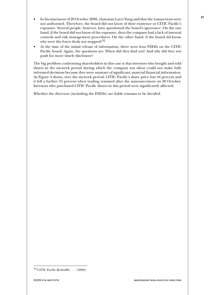- In his statement of 20 October 2008, chairman Larry Yung said that the transactions were not authorised. Therefore, the board did not know of their existence or CITIC Pacific's exposure. Several people, however, have questioned the board's ignorance. On the one hand, if the board did not know of the exposure, then the company had a lack of internal controls and risk management procedures. On the other hand, if the board *did* know, why were the forex deals not stopped?<sup>32</sup>
- At the time of the initial release of information, there were four INEDs on the CITIC Pacific board. Again, the questions are: When did they find out? And why did they not push for more timely disclosure?

The big problem confronting shareholders in this case is that investors who bought and sold shares in the six-week period during which the company was silent could not make fully informed decisions because they were unaware of significant, material financial information. As Figure 4 shows, over the six-week period, CITIC Pacific's share price lost 44 percent and it fell a further 55 percent when trading resumed after the announcement on 20 October. Investors who purchased CITIC Pacific shares in this period were significantly affected.

Whether the directors (including the INEDs) are liable remains to be decided.

 $^{32}$  CITIC Pacific Reshuffle . . . ' (2009).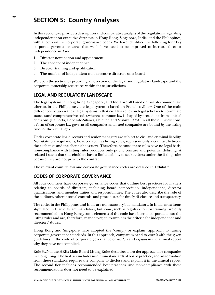## **<sup>22</sup> SECTION 5: Country Analyses**

In this section, we provide a description and comparative analysis of the regulations regarding independent non-executive directors in Hong Kong, Singapore, India, and the Philippines, with a focus on the corporate governance codes. We have identified the following four key corporate governance areas that we believe need to be improved to increase director independence in Asia:

- 1. Director nomination and appointment
- 2. The concept of independence
- 3. Director training and qualification
- 4. The number of independent non-executive directors on a board

We open the section by providing an overview of the legal and regulatory landscape and the corporate ownership structures within these jurisdictions.

## **LEGAL AND REGULATORY LANDSCAPE**

The legal systems in Hong Kong, Singapore, and India are all based on British common law, whereas in the Philippines, the legal system is based on French civil law. One of the main differences between these legal systems is that civil law relies on legal scholars to formulate statutes and comprehensive codes whereas common law is shaped by precedents from judicial decisions (La Porta, Lopez-de-Silanes, Shleifer, and Vishny 1998). In all these jurisdictions, a form of corporate law governs all companies and listed companies are bound by the listing rules of the exchanges.

Under corporate law, directors and senior managers are subject to civil and criminal liability. Non-statutory regulations, however, such as listing rules, represent only a contract between the exchange and the client (the issuer). Therefore, because these rules have no legal basis, non-compliance with listing rules produces only public censure and potential delisting. A related issue is that shareholders have a limited ability to seek redress under the listing rules because they are not privy to the contract.

The relevant country laws and corporate governance codes are detailed in **Exhibit 2**.

## **CODES OF CORPORATE GOVERNANCE**

All four countries have corporate governance codes that outline best practices for matters relating to boards of directors, including board composition, independence, director qualifications, and member duties and responsibilities. The codes also describe the role of the auditors, other internal controls, and procedures for timely disclosure and transparency.

The codes in the Philippines and India are non-statutory but mandatory. In India, most items stipulated in Clause 49 are mandatory, but some, such as regular director training, are only recommended. In Hong Kong, some elements of the code have been incorporated into the listing rules and are, therefore, mandatory; an example is the criteria for independence and directors' duties.

Hong Kong and Singapore have adopted the 'comply or explain' approach to raising corporate governance standards. In this approach, companies need to *comply* with the given guidelines in the code of corporate governance or *disclose* and *explain* in the annual report why they have not complied.

Rule 3.25 of the HKEx Main Board Listing Rules describes a two-tier approach for companies in Hong Kong. The first tier includes minimum standards of board practice, and any deviation from these standards requires the company to disclose and explain it in the annual report. The second tier includes recommended best practices, and non-compliance with these recommendations does not need to be explained.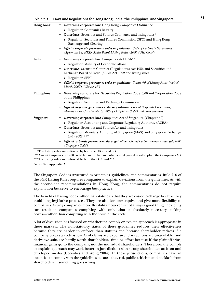| Exhibit 2.         | Laws and Regulations for Hong Kong, India, the Philippines, and Singapore                                                                                           |
|--------------------|---------------------------------------------------------------------------------------------------------------------------------------------------------------------|
| <b>Hong Kong</b>   | • Governing corporate law: Hong Kong Companies Ordinance                                                                                                            |
|                    | Regulator: Companies Registry                                                                                                                                       |
|                    | <b>Other laws:</b> Securities and Futures Ordinance and listing rules*<br>٠                                                                                         |
|                    | Regulator: Securities and Futures Commission (SFC) and Hong Kong<br><b>Exchange and Clearing</b>                                                                    |
|                    | <b>Official corporate governance codes or guidelines:</b> Code of Corporate Governance<br>(Appendix 14, HKEx Main Board Listing Rules) 2005 ('HK Code')             |
| India              | Governing corporate law: Companies Act 1956**                                                                                                                       |
|                    | Regulator: Ministry of Corporate Affairs                                                                                                                            |
|                    | <b>Other laws:</b> Securities Contract (Regulations) Act 1956 and Securities and<br>٠<br>Exchange Board of India (SEBI) Act 1992 and listing rules                  |
|                    | Regulator: SEBI<br>$\blacksquare$                                                                                                                                   |
|                    | <b>Official corporate governance codes or guidelines:</b> Clause 49 of Listing Rules (revised<br>March 2005) ('Clause 49')                                          |
| <b>Philippines</b> | Governing corporate law: Securities Regulation Code 2000 and Corporation Code<br>of the Philippines                                                                 |
|                    | Regulator: Securities and Exchange Commission<br>$\blacksquare$                                                                                                     |
|                    | <b>Official corporate governance codes or guidelines:</b> Code of Corporate Governance,<br>Memorandum Circular No. 6, 2009 ('Philippines Code') and other circulars |
| <b>Singapore</b>   | <b>Governing corporate law:</b> Companies Act of Singapore (Chapter 50)                                                                                             |
|                    | Regulator: Accounting and Corporate Regulatory Authority (ACRA)<br>$\blacksquare$                                                                                   |
|                    | <b>Other laws:</b> Securities and Futures Act and listing rules<br>٠                                                                                                |
|                    | Regulator: Monetary Authority of Singapore (MAS) and Singapore Exchange<br>Ltd $(SGX)$ ***                                                                          |
|                    | <b>Official corporate governance codes or guidelines:</b> Code of Corporate Governance, July 2005<br>('Singapore Code')                                             |

\*The listing rules are enforced by both the HKEx and SFC.

\*\*A new Companies Bill 2008 is tabled in the Indian Parliament; if passed, it will replace the Companies Act. \*\*\*The listing rules are enforced by both the SGX and MAS.

*Source*: See Appendix A.

The Singapore Code is structured as principles, guidelines, and commentaries. Rule 710 of the SGX Listing Rules requires companies to explain deviations from the guidelines. As with the second-tier recommendations in Hong Kong, the commentaries do not require explanation but serve to encourage best practice.

The benefit of having codes rather than statutes is that they are easier to change because they avoid long legislative processes. They are also less prescriptive and give more flexibility to companies. Giving companies more flexibility, however, is not always a good thing. Flexibility can result in companies complying with only what is absolutely necessary—ticking boxes—rather than complying with the spirit of the code.

A lot of discussion has focused on whether the comply or explain approach is appropriate in these markets. The non-statutory status of these guidelines reduces their effectiveness because they are harder to enforce than statutes and because shareholder redress if a company breaks a code is low. Civil claims are expensive, class actions are unavailable, and derivative suits are hardly worth shareholders' time or effort because if the plaintiff wins, financial gains go to the company, not the individual shareholders. Therefore, the comply or explain approach may work better in jurisdictions with strong shareholder activism and developed media (Coombes and Wong 2004). In those jurisdictions, companies have an incentive to comply with the guidelines because they risk public criticism and backlash from shareholders if something goes wrong.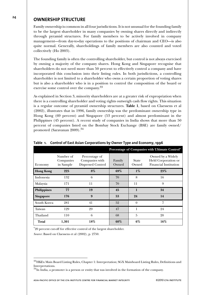## **<sup>24</sup> OWNERSHIP STRUCTURE**

Family ownership is common in all four jurisdictions. It is not unusual for the founding family to be the largest shareholder in many companies by owning shares directly and indirectly through pyramid structures. For family members to be actively involved in company management—from day-to-day operations to the positions of chairman and CEO—is also quite normal. Generally, shareholdings of family members are also counted and voted collectively (Ho 2003).

The founding family is often the controlling shareholder, but control is not always exercised by owning a majority of the company shares. Hong Kong and Singapore recognise that shareholders do not need more than 50 percent to effectively control a company and have incorporated this conclusion into their listing rules. In both jurisdictions, a controlling shareholder is not limited to a shareholder who owns a certain proportion of voting shares but is also a shareholder who is in a position to control the composition of the board or exercise some control over the company.<sup>33</sup>

As explained in Section 3, minority shareholders are at a greater risk of expropriation when there is a controlling shareholder and voting rights outweigh cash flow rights. This situation is a regular outcome of pyramid ownership structures. **Table 1**, based on Claessens et al (2002), illustrates that in 1996, family ownership was the predominant ownership type in Hong Kong (69 percent) and Singapore (53 percent) and almost predominant in the Philippines (45 percent). A recent study of companies in India shows that more than 50 percent of companies listed on the Bombay Stock Exchange (BSE) are family owned/ promoted (Saravanan 2009).<sup>34</sup>

|                    |                                     |                                                      |                 |                       | Percentage of Companies with Ultimate Control*                           |
|--------------------|-------------------------------------|------------------------------------------------------|-----------------|-----------------------|--------------------------------------------------------------------------|
| Economy            | Number of<br>Companies<br>in Sample | Percentage of<br>Companies with<br>Dispersed Control | Family<br>Owned | <b>State</b><br>Owned | Owned by a Widely<br>Held Corporation or<br><b>Financial Institution</b> |
| <b>Hong Kong</b>   | 225                                 | 8%                                                   | 69%             | $1\%$                 | 23%                                                                      |
| Indonesia          | 132                                 | 6                                                    | 70              | 8                     | 16                                                                       |
| Malaysia           | 171                                 | 11                                                   | 70              | 11                    | 9                                                                        |
| <b>Philippines</b> | 77                                  | 19                                                   | 45              | $\mathbf{1}$          | 34                                                                       |
| Singapore          | 176                                 | 9                                                    | 53              | 24                    | 14                                                                       |
| South Korea        | 281                                 | 41                                                   | 52              | $\theta$              | 7                                                                        |
| Taiwan             | 129                                 | 29                                                   | 47              | 1                     | 24                                                                       |
| Thailand           | 110                                 | 6                                                    | 68              | $\overline{5}$        | 20                                                                       |
| Total              | 1,301                               | 18%                                                  | $60\%$          | $6\%$                 | 16%                                                                      |

#### **Table 1. Control of East Asian Corporations by Owner Type and Economy, 1996**

\*20 percent cut-off for effective control of the largest shareholder.

*Source*: Based on Claessens et al (2002), p. 2750.

<sup>33</sup>HKEx Main Board Listing Rules, Chapter 1: Interpretation; SGX Mainboard Listing Rules, Definitions and Interpretations.

 $34$ In India, a promoter is a person or entity that was involved in the formation of the company.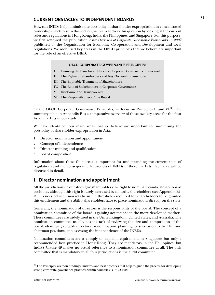## **CURRENT OBSTACLES TO INDEPENDENT BOARDS**

How can INEDs help minimise the possibility of shareholder expropriation in concentrated ownership structures? In this section, we try to address this question by looking at the current rules and regulations in Hong Kong, India, the Philippines, and Singapore. For this purpose, we first reviewed the publication *Asia: Overview of Corporate Governance Frameworks in 2007* published by the Organisation for Economic Co-operation and Development and local regulations. We identified key areas in the OECD principles that we believe are important for the role of an effective INED.

#### **OECD CORPORATE GOVERNANCE PRINCIPLES**

- I. Ensuring the Basis for an Effective Corporate Governance Framework
- **II. The Rights of Shareholders and Key Ownership Functions**
- III. The Equitable Treatment of Shareholders
- IV. The Role of Stakeholders in Corporate Governance
- V. Disclosure and Transparency
- **VI. The Responsibilities of the Board**

Of the OECD Corporate Governance Principles, we focus on Principles II and VI.<sup>35</sup> The summary table in Appendix B is a comparative overview of these two key areas for the four Asian markets in our study.

We have identified four main areas that we believe are important for minimising the possibility of shareholder expropriation in Asia:

- 1. Director nomination and appointment
- 2. Concept of independence
- 3. Director training and qualification
- 4. Board composition

Information about these four areas is important for understanding the current state of regulations and the consequent effectiveness of INEDs in these markets. Each area will be discussed in detail.

## **1. Director nomination and appointment**

All the jurisdictions in our study give shareholders the right to nominate candidates for board positions, although this right is rarely exercised by minority shareholders (see Appendix B). Differences between markets lie in the thresholds required for shareholders to be granted this entitlement and the ability shareholders have to place nominations directly on the slate.

Generally, the nomination of directors is the responsibility of the board. The concept of a nomination committee of the board is gaining acceptance in the more developed markets. These committees are widely used in the United Kingdom, United States, and Australia. The nomination committee usually has the task of reviewing the size and composition of the board, identifying suitable directors for nomination, planning for succession to the CEO and chairman positions, and assessing the independence of the INEDs.

Nomination committees are a comply or explain requirement in Singapore but only a recommended best practice in Hong Kong. They are mandatory in the Philippines, but India's Clause 49 makes no actual reference to a nomination committee at all. The only committee that is mandatory in all four jurisdictions is the audit committee.

 $35$ The Principles are non-binding standards and best practices that help to guide the process for developing strong corporate governance practices within countries (OECD 2004).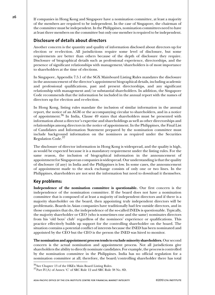**26** If companies in Hong Kong and Singapore have a nomination committee, at least a majority of the members are required to be independent. In the case of Singapore, the chairman of the committee must be independent. In the Philippines, nomination committees need to have at least three members on the committee but only one member is required to be independent.

## **Disclosure of details about directors**

Another concern is the quantity and quality of information disclosed about directors up for election or re-election. All jurisdictions require some level of disclosure, but some requirements are better than others because of the depth of disclosure they require. Disclosure of biographical details such as professional experience, directorships, and the presence of significant relationships with management/shareholders is of most importance to shareholders at the time of elections.

In Singapore, Appendix 7.5.1 of the SGX Mainboard Listing Rules mandates the disclosure in the announcement of the director's appointment biographical details, including academic and professional qualifications, past and present directorships, and any significant relationship with management and/or substantial shareholders. In addition, the Singapore Code recommends that the information be included in the annual report with the names of directors up for election and re-election.

In Hong Kong, listing rules mandate the inclusion of similar information in the annual report, the notice of an AGM or the accompanying circular to shareholders, and in a notice of appointment.<sup>36</sup> In India, Clause 49 states that shareholders must be presented with information about a director's expertise and shareholdings as well as other directorships and relationships among directors in the notice of appointment. In the Philippines, the Final List of Candidates and Information Statement prepared by the nomination committee must include background information on the nominees as required under the Securities Regulation Code.<sup>37</sup>

The disclosure of director information in Hong Kong is widespread, and the quality is high, as would be expected because it is a mandatory requirement under the listing rules. For the same reason, the inclusion of biographical information in the announcement of appointment for Singaporean companies is widespread. Our understanding is that the quality of disclosure (if any) in India and the Philippines is low. In some cases, the announcement of appointment made to the stock exchange consists of only one or two lines. In the Philippines, shareholders are not sent the information but need to download it themselves.

## **Key problems:**

**Independence of the nomination committee is questionable.** Our first concern is the independence of the nomination committee. If the board does not have a nomination committee that is composed of at least a majority of independent directors and if there is a majority shareholder on the board, then appointing truly independent directors will be problematic**.** Boards in Asian companies have traditionally had few outside directors, and in those companies that do, the independence of the so-called INEDs is questionable. Typically, the majority shareholder or CEO (who is sometimes one and the same) nominates directors from his 'old boys' club' regardless of the nominees' experience or qualifications. This practice effectively builds up support for the controlling shareholder on the board. The situation contains a potential conflict of interests because the INED has been nominated and appointed by the CEO but the CEO is the person the INED was hired to monitor.

**The nomination and appointment process tends to exclude minority shareholders.** Our second concern is the actual nomination and appointment process. Not all jurisdictions give shareholders the ability to directly nominate candidates. For example, the process is controlled by the nomination committee in the Philippines. India has no official regulation for a nomination committee at all; therefore, the board/controlling shareholder there has total

<sup>&</sup>lt;sup>36</sup>See Chapter 13 of the HKEx Main Board Listing Rules.  $37$ Part IV(A) of Annex 'C' of SRC Rule 12 and SRC Rule 38 No. 8D.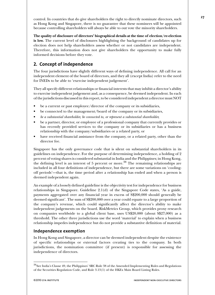control. In countries that do give shareholders the right to directly nominate directors, such as Hong Kong and Singapore, there is no guarantee that these nominees will be appointed because controlling shareholders will always be able to out vote the minority shareholders.

**The quality of disclosure of directors' biographical details at the time of election/re-election is low.** The current level of disclosures highlighting the background of candidates up for election does not help shareholders assess whether or not candidates are independent. Therefore, this information does not give shareholders the opportunity to make fully informed decisions before they vote.

## **2. Concept of independence**

The four jurisdictions have slightly different ways of defining independence. All call for an independent element of the board of directors, and they all (except India) refer to the need for INEDs to be able to 'exercise independent judgement'.

They all specify different relationships or financial interests that may inhibit a director's ability to exercise independent judgement and, as a consequence, be deemed independent. In each of the jurisdictions discussed in this report, to be considered independent a director must NOT

- be a current or past employee/director of the company or its subsidiaries,
- be connected to the management/board of the company or its subsidiaries,
- *be a substantial shareholder, be connected to, or represent a substantial shareholder*,
- be a partner, director, or employee of a professional company that currently provides or has recently provided services to the company or its subsidiaries or has a business relationship with the company/subsidiaries or a related party, or
- have received financial assistance from the company, or a related party, other than the director fee.

Singapore has the only governance code that is silent on substantial shareholders in its guidelines on independence. For the purpose of determining independence, a holding of 2 percent of voting shares is considered substantial in India and the Philippines; in Hong Kong, the defining level is an interest of 5 percent or more.<sup>38</sup> The remaining relationships are included in all four definitions of independence, but there are some variations on 'coolingoff periods'—that is, the time period after a relationship has ended and when a person is deemed independent again.

An example of a loosely defined guideline is the objectivity test for independence for business relationships in Singapore. Guideline 2.1(d) of the Singapore Code states, 'As a guide, payments aggregated over any financial year in excess of S\$200,000 should generally be deemed significant'. The sum of S\$200,000 over a year could equate to a large proportion of the company's revenue, which could significantly affect the director's ability to make independent judgements on the board. RiskMetrics Group, which provides proxy research on companies worldwide to a global client base, uses US\$20,000 (about S\$27,000) as a threshold. The other three jurisdictions use the word 'material' to explain when a business relationship impedes independence but do not provide a substantive definition of material.

## **Independence exemption**

In Hong Kong and Singapore, a director can be deemed independent despite the existence of specific relationships or external factors creating ties to the company. In both jurisdictions, the nomination committee (if present) is responsible for assessing the independence of directors.

 $38$ See India's Clause 49, the Philippines' SRC Rule  $38$  of the Amended Implementing Rules and Regulations of the Securities Regulation Code, and Rule 3.13(1) of the HKEx Main Board Listing Rules.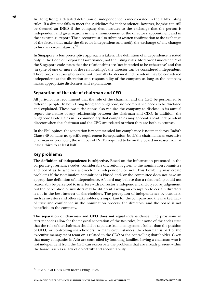**28** In Hong Kong, a detailed definition of independence is incorporated in the HKEx listing rules. If a director fails to meet the guidelines for independence, however, he/she can still be deemed an INED if the company demonstrates to the exchange that the person is independent and gives reasons in the announcement of the director's appointment and in the next annual report. The director must also submit a written confirmation to the exchange of the factors that make the director independent and notify the exchange of any changes to his/her circumstances.<sup>39</sup>

> In Singapore, a less prescriptive approach is taken: The definition of independence is stated only in the Code of Corporate Governance, not the listing rules. Moreover, Guideline 2.2 of the Singapore code states that the relationships are 'not intended to be exhaustive' and that 'in spite of one or more of the relationships', the director can be considered independent. Therefore, directors who would not normally be deemed independent may be considered independent at the discretion and responsibility of the company as long as the company makes appropriate disclosures and explanations.

## **Separation of the role of chairman and CEO**

All jurisdictions recommend that the role of the chairman and the CEO be performed by different people. In both Hong Kong and Singapore, non-compliance needs to be disclosed and explained. These two jurisdictions also require the company to disclose in its annual report the nature of any relationship between the chairman and CEO. In addition, the Singapore Code states in its commentary that companies may appoint a lead independent director when the chairman and the CEO are related or when they are both executives.

In the Philippines, the separation is recommended but compliance is not mandatory. India's Clause 49 contains no specific requirement for separation, but if the chairman is an executive chairman or promoter**,** the number of INEDs required to be on the board increases from at least a third to at least half.

## **Key problems:**

**The definition of independence is subjective.** Based on the information presented in the corporate governance codes, considerable discretion is given to the nomination committee and board as to whether a director is independent or not. This flexibility may create problems if the nomination committee is biased and/or the committee does not have an appropriate definition of independence. A board may believe that a relationship could not reasonably be perceived to interfere with a director's independent and objective judgement, but the perception of investors may be different. Giving an exemption to certain directors is not in the best interest of shareholders. The perception of independence by outsiders, such as investors and other stakeholders, is important for the company and the market. Lack of trust and confidence in the nomination process, the directors, and the board is not beneficial to the company.

**The separation of chairman and CEO does not equal independence**. The provisions in current codes allow for the physical separation of the two roles, but none of the codes state that the role of the chairman should be separate from management (other than the position of CEO) or controlling shareholders. In many circumstances, the chairman is part of the executive management team or is related to the CEO or the controlling shareholder. Given that many companies in Asia are controlled by founding families, having a chairman who is not independent from the CEO can exacerbate the problems that are already present within the board, such as a lack of objectivity and accountability.

<sup>39</sup>Rule 3.14 of HKEx Main Board Listing Rules.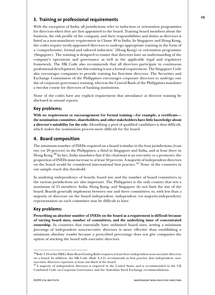## **3. Training or professional requirements**

With the exception of India, all jurisdictions refer to induction or orientation programmes for directors when they are first appointed to the board. Training board members about the business, the risk profile of the company, and their responsibilities and duties as directors is listed as a non-mandatory requirement in Clause 49 in India. In Singapore and Hong Kong, the codes require newly-appointed directors to undergo appropriate training in the form of a 'comprehensive, formal and tailored induction' (Hong Kong) or orientation programme (Singapore). The training is designed to ensure that directors have an understanding of the company's operations and governance as well as the applicable legal and regulatory framework. The HK Code also recommends that all directors participate in continuous professional development, but this training is not a formal requirement. The Singapore Code also encourages companies to provide training for first-time directors. The Securities and Exchange Commission of the Philippines encourages corporate directors to undergo one day of corporate governance training, whereas the Central Bank of the Philippines mandates a two-day course for directors of banking institutions.

None of the codes have any explicit requirement that attendance at director training be disclosed in annual reports.

## **Key problems:**

**With no requirement or encouragement for formal training—for example, a certificate the nomination committee, shareholders, and other stakeholders have little knowledge about a director's suitability for the role.** Identifying a pool of qualified candidates is thus difficult, which makes the nomination process more difficult for the board.

## **4. Board composition**

The minimum number of INEDs required on a board is similar in the four jurisdictions, from two (or 20 percent) in the Philippines, a third in Singapore and India, and at least three in Hong Kong.<sup>40</sup> In fact, India mandates that if the chairman is an executive or a promoter, the proportion of INEDs must increase to at least 50 percent. A majority of independent directors on the board would be considered international best practice.<sup>41</sup> None of the countries in our sample reach this threshold.

In analysing independence of boards, board size and the number of board committees in the various jurisdictions are also important. The Philippines is the only country that sets a maximum of 15 members. India, Hong Kong, and Singapore do not limit the size of the board. Boards generally implement between one and three committees; so, with less than a majority of directors on the board independent, independent (or majority-independent) representation on each committee may be difficult to have.

## **Key problems:**

**Prescribing an absolute number of INEDs on the board as a requirement is difficult because of varying board sizes, number of committees, and the underlying issue of concentrated ownership.** In countries that essentially have unlimited board sizes, setting a minimum *percentage* of independent non-executive directors is more effective than establishing a minimum absolute *number* because a prescribed percentage does not give companies the option of stacking the board with executive directors.

 $^{40}$ Rule 3.10 of the HKEx Main Board Listing Rules requires at least three independent non-executive directors on a board. In addition, the HK Code (Rule A.3.2) recommends as best practice that independent, nonexecutive directors represent at least one-third of the board.

<sup>&</sup>lt;sup>41</sup>A majority of independent directors is required in the United States and is recommended in the UK Combined Code on Corporate Governance and the Australian Stock Exchange recommendations.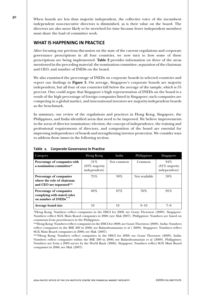**<sup>30</sup>** When boards are less than majority independent, the collective voice of the incumbent independent non-executive directors is diminished, as is their value on the board. The directors are also more likely to be stretched for time because fewer independent members must share the load of committee work.

## **WHAT IS HAPPENING IN PRACTICE**

After focusing our previous discussion on the state of the current regulations and corporate governance prescriptions in all four countries, we now turn to how some of these prescriptions are being implemented. **Table 2** provides information on three of the areas mentioned in the preceding material: the nomination committee, separation of the chairman and CEO, and number of INEDs on the board.

We also examined the percentage of INEDs on corporate boards in selected countries and report our findings in **Figure 5**. On average, Singapore's corporate boards are majority independent, but all four of our countries fall below the average of the sample, which is 55 percent. One could argue that Singapore's high representation of INEDs on the board is a result of the high percentage of foreign companies listed in Singapore; such companies are competing in a global market, and international investors see majority-independent boards as the benchmark.

In summary, our review of the regulations and practices in Hong Kong, Singapore, the Philippines, and India identified areas that need to be improved. We believe improvements in the areas of director nomination/election, the concept of independence, the training and professional requirements of directors, and composition of the board are essential for improving independence of boards and strengthening investor protection. We consider ways to address these issues in the following section.

| Category                                                                         | Hong Kong                            | India      | Philippines   | Singapore                               |
|----------------------------------------------------------------------------------|--------------------------------------|------------|---------------|-----------------------------------------|
| Percentage of companies with<br>a nomination committee*                          | 51%<br>(83% majority<br>independent) | Not common | Common        | 94%<br>$(81\%$ majority<br>independent) |
| Percentage of companies<br>where the role of chairman<br>and CEO are separated** | 75%                                  | 59%        | Not available | 59%                                     |
| Percentage of companies<br>complying with stated rules<br>on number of INEDs     | $69\%$                               | $87\%$     | $70\%$        | 95%                                     |
| Average board size                                                               | 10                                   | 10         | $9 - 10$      | $7 - 8$                                 |

#### **Table 2. Corporate Governance in Practice**

\*Hong Kong: Numbers reflect companies in the HSCI for 2008; see Grant Thornton (2009). Singapore: Numbers reflect SGX Main Board companies in 2006 (see Mak 2007). Philippines: Numbers are based on comments from practitioners in the Philippines.

\*\*Hong Kong: Numbers reflect companies in the HSCI for 2008; see Grant Thornton (2009). India: Numbers reflect companies in the BSE 200 in 2006; see Balasubramanian et al ( 2009). Singapore: Numbers reflect SGX Main Board companies in 2006; see Mak (2007).

\*\*\*Hong Kong: Numbers reflect companies in the HSCI for 2008; see Grant Thornton (2009). India: Numbers reflect companies within the BSE 200 in 2006; see Balasubramanian et al (2009). Philippines: Numbers are from a 2003 survey by the World Bank (2006). Singapore: Numbers reflect SGX Main Board companies in 2006; see Mak (2007).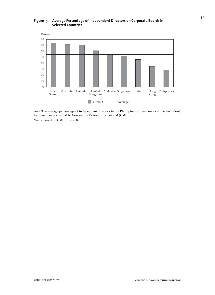



*Note*: The average percentage of independent directors in the Philippines is based on a sample size of only four companies covered by GovernanceMetrics International (GMI).

*Source*: Based on GMI (June 2009).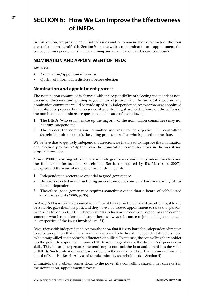## <sup>32</sup> **SECTION 6: How We Can Improve the Effectiveness of INEDs**

In this section, we present potential solutions and recommendations for each of the four areas of concern identified in Section 5—namely, director nomination and appointment, the concept of independence, director training and qualification, and board composition.

## **NOMINATION AND APPOINTMENT OF INEDs**

Key areas:

- Nomination/appointment process
- Quality of information disclosed before election

## **Nomination and appointment process**

The nomination committee is charged with the responsibility of selecting independent nonexecutive directors and putting together an objective slate. In an ideal situation, the nomination committee would be made up of truly independent directors who were appointed in an objective process. In the presence of a controlling shareholder, however, the actions of the nomination committee are questionable because of the following:

- 1. The INEDs (who usually make up the majority of the nomination committee) may not be truly independent.
- 2. The process the nomination committee uses may not be objective. The controlling shareholder often controls the voting process as well as who is placed on the slate.

We believe that to get truly independent directors, we first need to improve the nomination and election process. Only then can the nomination committee work in the way it was originally intended.

Monks (2006), a strong advocate of corporate governance and independent directors and the founder of Institutional Shareholder Services (acquired by RiskMetrics in 2007), encapsulated the issue of independence in three points:

- 1. Independent directors are essential to good governance.
- 2. Directors selected in a self-selecting process cannot be considered in any meaningful way to be independent.
- 3. Therefore, good governance requires something other than a board of self-selected directors (Monks 2006, p. 35).

In Asia, INEDs who are appointed to the board by a self-selected board are often loyal to the person who gave them the post, and they have an unstated appointment to serve that person. According to Monks (2006): 'There is always a reluctance to confront, embarrass and combat someone who has conferred a favour, there is always reluctance to join a club just to attack it, irrespective of the issues involved' (p. 34).

Discussions with independent directors also show that it is very hard for independent directors to voice an opinion that differs from the majority. To be heard, independent directors need to be strong willed and not easily influenced or bullied. In any case, the controlling shareholder has the power to appoint and dismiss INEDs at will regardless of the director's experience or skills. This, in turn, perpetuates the tendency to not rock the boat and diminishes the value of INEDs. Such a situation was clearly evident in the case of Tan Lye Huat's removal from the board of Kian Ho Bearings by a substantial minority shareholder (see Section 4).

Ultimately, the problem comes down to the power the controlling shareholder can exert in the nomination/appointment process.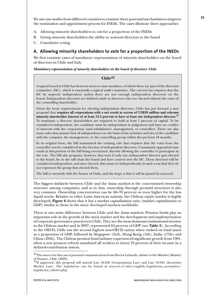We use case studies from different countries to examine three potential mechanisms to improve the nomination and appointment process for INEDs. The cases illustrate three approaches:

- A. Allowing minority shareholders to *vote* for a proportion of the INEDs
- B. Giving minority shareholders the ability to *nominate* directors to the board
- C. Cumulative voting

#### **A. Allowing minority shareholders to** *vote* **for a proportion of the INEDs**

We first examine cases of mandatory representation of minority shareholders on the board of directors in Chile and Italy.

*Mandatory representation of minority shareholders on the board of directors: Chile*

#### **Chile42**

A typical board in Chile has between seven to nine members, of which three are part of the directors committee (DC), which is essentially a typical audit committee. The current law requires that the DC be majority independent unless there are not enough independent directors on the board. Independent directors are defined solely as directors who are elected without the votes of the controlling shareholder.

Given the loose requirements for electing independent directors, Chile has put forward a new proposal that **requires all corporations with a net worth in excess of US\$38 million and relevant minority shareholder interest of at least 12.5 percent to have at least one independent director.**<sup>43</sup> To nominate a director, shareholders are required to hold at least 1 percent of capital. To be considered independent, the candidate must be independent in judgement and have no conflict of interests with the corporation (and subsidiaries), management, or controllers. There are also some rules that assume lack of independence on the basis of the activities and ties of the candidate with the company, the management, or the controlling group within the previous 18 months.

In its original form, the bill maintained the existing rule that requires that the votes from the controller not be considered in the election of independent directors. Community opposition may result in this portion of the bill being overturned, thereby allowing the controller to participate in the vote. The bill also proposes, however, that even if only one independent director gets elected to the board, he or she will chair the board and have control over the DC. These directors will be considered independent, and once elected, they must act independently, in such a way that they do not represent the group that elected them.

The bill is currently with the Senate of Chile, and the hope is that it will be passed by year-end.

The biggest similarity between Chile and the Asian markets is the concentrated ownership structure among companies, and as in Asia, ownership through pyramid structures is also very common. Ownership concentration can be 60–70 percent or even higher for the less liquid stocks. Relative to other Latin American nations, the Chilean equity market is highly developed; **Figure 6** shows that it has a market capitalisation ratio (market capitalisation to GDP) similar to those in the more developed markets worldwide.

There is one main difference between Chile and the Asian markets: Pension funds play an important role in the growth of the stock market and the development and implementation of corporate governance practices in Chile. They are the most dominant institutional investor in the Chilean market and in 2007, represented 64 percent of GDP (see **Table 3**). According to the OECD, Chile was the second highest non-OECD nation when ranked on fund assets as a proportion of GDP, followed by Singapore (3rd), Hong Kong (5th), India (17th) and China (29th). The Chilean pension fund industry experienced significant growth from 1981, when a new pension reform mandated all workers to invest 10 percent of their income in a defined-contribution system.

<sup>&</sup>lt;sup>42</sup>The source for this case is personal communications from Hector Lehuede, adviser to the Minister, Ministry of Finance, Chile (2009).

 $^{43}$ If approved, this proposal will amend Law 18.046 (Corporations Law) and Law 18.045 (Securities Market Law). The legislation can be found at www.svs.cl/sitio/english/legislacion\_normativa/ legislacion\_valores.php.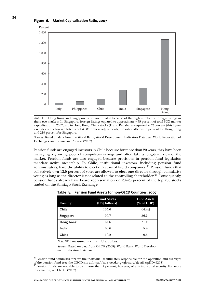



*Note*: The Hong Kong and Singapore ratios are inflated because of the high number of foreign listings in these two markets. In Singapore, foreign listings equated to approximately 35 percent of total SGX market capitalisation in 2007, and in Hong Kong, China stocks (H and Red shares) equated to 52 percent (this figure excludes other foreign listed stocks). With these adjustments, the ratio falls to 615 percent for Hong Kong and 219 percent for Singapore.

*Sources*: Based on data from the World Bank, World Development Indicators Database; World Federation of Exchanges; and Blume and Alonso (2007).

Pension funds are engaged investors in Chile because for more than 20 years, they have been managing a growing pool of compulsory savings and often take a long-term view of the market. Pension funds are also engaged because provisions in pension fund legislation mandate active ownership. In Chile, institutional investors, including pension fund administrators, have the ability to elect directors of listed companies.<sup>44</sup> Pension funds that collectively own 12.5 percent of votes are allowed to elect one director through cumulative voting as long as the director is not related to the controlling shareholder.<sup>45</sup> Consequently, pension funds already have board representation on 20-25 percent of the top 200 stocks traded on the Santiago Stock Exchange.

| Country          | <b>Fund Assets</b><br>(US\$ billions) | <b>Fund Assets</b><br>$(\%$ of GDP) |
|------------------|---------------------------------------|-------------------------------------|
| <b>Chile</b>     | 105.6                                 | 64.4%                               |
| <b>Singapore</b> | 90.7                                  | 56.2                                |
| <b>Hong Kong</b> | 64.6                                  | 31.2                                |
| India            | 63.6                                  | 5.4                                 |
| China            | 19.2                                  | 0.6                                 |

|  |  | Table 3. Pension Fund Assets for non-OECD Countries, 2007 |  |
|--|--|-----------------------------------------------------------|--|
|--|--|-----------------------------------------------------------|--|

*Note*: GDP measured in current U.S. dollars.

*Sources*: Based on data from OECD (2008); World Bank, World Development Indicators Database.

 $44$ Pension fund administrators are the individual(s) ultimately responsible for the operation and oversight

of the pension fund (see the OECD site at http://stats.oecd.org/glossary/detail.asp?ID=5268).<br><sup>45</sup>Pension funds are not able to own more than 7 percent, however, of any individual security. For more information, see Clarke (2007).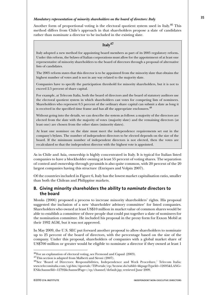#### *Mandatory representation of minority shareholders on the board of directors: Italy*

Another form of proportional voting is the electoral quotient system used in Italy.<sup>46</sup> This method differs from Chile's approach in that shareholders propose a slate of candidates rather than nominate a director to be included in the existing slate.

### **Italy<sup>47</sup>**

Italy adopted a new method for appointing board members as part of its 2005 regulatory reform**.** Under this reform, the bylaws of Italian corporations must allow for the appointment of at least one representative of minority shareholders to the board of directors through a proposal of alternative lists of candidates.

The 2005 reform states that this director is to be appointed from the minority slate that obtains the highest number of votes and is not in any way related to the majority slate.

Companies have to specify the participation threshold for minority shareholders, but it is not to exceed 2.5 percent of share capital.

For example, at Telecom Italia, both the board of directors and the board of statutory auditors use the electoral quotient system in which shareholders cast votes for competing lists of nominees. Shareholders who represent 0.5 percent of the ordinary share capital can submit a slate as long it is received in the specified time frame and has all the appropriate enclosures.<sup>48</sup>

Without going into the details, we can describe the system as follows: a majority of the directors are elected from the slate with the majority of votes (majority slate) and the remaining directors (at least one) are chosen from the other slates (minority slates).

At least one nominee on the slate must meet the independence requirements set out in the company's bylaws. The number of independent directors to be elected depends on the size of the board. If the minimum number of independent directors is not elected, then the votes are recalculated so that the independent director with the highest vote is appointed.

As in Chile and Asia, ownership is highly concentrated in Italy. It is typical for Italian listed companies to have a blockholder owning at least 55 percent of voting shares. The separation of control and ownership through pyramids is also quite common, with 20 percent of the 20 largest companies having this structure (Enriques and Volpin 2007).

Of the countries included in Figure 6, Italy has the lowest market capitalisation ratio, smaller than both the Chilean and Philippine markets.

### **B. Giving minority shareholders the ability to** *nominate* **directors to the board**

Monks (2006) proposed a process to increase minority shareholders' rights. His proposal suggested the inclusion of a new 'shareholder advisory committee' for listed companies. Shareholders who owned at least US\$10 million in market value of common shares would be able to establish a committee of three people that could put together a slate of nominees for the nomination committee. He included his proposal in the proxy form for Exxon Mobil at their 1992 AGM, but it was not approved.

In May 2009, the U.S. SEC put forward another proposal to allow shareholders to nominate up to 25 percent of the board of directors, with the percentage based on the size of the company. Under this proposal, shareholders of companies with a global market share of US\$700 million or greater would be eligible to nominate a director if they owned at least 1

 $^{46}$ For an explanation of electoral voting, see Fremond and Capaul (2003).  $^{47}$ This section is adapted from Malberti and Sironi (2007).

<sup>48</sup>See 'Board of Directors: Responsibilities, Independence and Work Procedure,' Telecom Italia: www.telecomitalia.com/cgi-bin/tiportale/TIPortale/ep/browse.do?tabId=4&pageTypeId=-12695&LANG= EN&channelId=-12792&channelPage=/ep/channel/default.jsp; retrieved June 2009.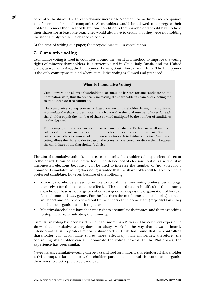**36** percent of the shares. The threshold would increase to 3 percent for medium-sized companies and 5 percent for small companies. Shareholders would be allowed to aggregate their holdings to meet the thresholds, but one condition is that shareholders would have to hold their shares for at least one year. They would also have to certify that they were not holding the stock simply to effect a change in control.

At the time of writing our paper, the proposal was still in consultation.

## **C. Cumulative voting**

Cumulative voting is used in countries around the world as a method to improve the voting rights of minority shareholders. It is currently used in Chile, Italy, Russia, and the United States, as well as in Asia, the Philippines, Taiwan, South Korea, and China. The Philippines is the only country we studied where cumulative voting is allowed and practiced.

### **What Is Cumulative Voting?**

Cumulative voting allows a shareholder to accumulate its votes for one candidate on the nomination slate, thus theoretically increasing the shareholder's chances of electing the shareholder's desired candidate.

The cumulative voting process is based on each shareholder having the ability to accumulate the shareholder's votes in such a way that the total number of votes for each shareholder equals the number of shares owned multiplied by the number of candidates up for election.

For example, suppose a shareholder owns 1 million shares. Each share is allowed one vote, so if 10 board members are up for election, this shareholder may cast 10 million votes for one director instead of 1 million votes for each individual director. Cumulative voting allows the shareholder to cast all the votes for one person or divide them between the candidates of the shareholder's choice.

The aim of cumulative voting is to increase a minority shareholder's ability to elect a director to the board. It can be an effective tool in contested board elections, but it is also useful in uncontested elections because it can be used to increase the number of 'no' votes for a nominee. Cumulative voting does not guarantee that the shareholder will be able to elect a preferred candidate, however, because of the following:

- Minority shareholders need to be able to co-ordinate their voting preferences amongst themselves for their votes to be effective. This co-ordination is difficult if the minority shareholder base is not large or cohesive. A good analogy is the organisation of football fans at home and away games. For the fans from the non-home team (minority) to make an impact and not be drowned out by the cheers of the home team (majority) fans, they need to be organised and sit together.
- Majority shareholders have the same right to accumulate their votes, and there is nothing to stop them from outvoting the minority.

Cumulative voting has been used in Chile for more than 20 years. This country's experience shows that cumulative voting does not always work in the way that it was primarily intended—that is, to protect minority shareholders. Chile has found that the controlling shareholder can accumulate shares more effectively than minorities; therefore, the controlling shareholder can still dominate the voting process. In the Philippines, the experience has been similar.

Nevertheless, cumulative voting can be a useful tool for minority shareholders if shareholder activist groups or large minority shareholders participate in cumulative voting and organise their votes to elect a preferred candidate.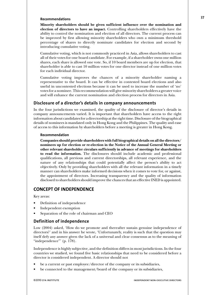#### **Recommendations**

**Minority shareholders should be given sufficient influence over the nomination and election of directors to have an impact.** Controlling shareholders effectively have the ability to control the nomination and election of all directors. The current process can be improved by first allowing minority shareholders who own a minimum threshold percentage of shares to directly nominate candidates for election and second by introducing cumulative voting.

Cumulative voting, which is not commonly practiced in Asia, allows shareholders to cast all of their votes for one board candidate. For example, if a shareholder owns one million shares, each share is allowed one vote. So, if 10 board members are up for election, that shareholder is able to cast 10 million votes for one director instead of one million votes for each individual director.

Cumulative voting improves the chances of a minority shareholder naming a representative to the board. It can be effective in contested board elections and also useful in uncontested elections because it can be used to increase the number of 'no' votes for a nominee. This recommendation will give minority shareholders a greater voice and will enhance the current nomination and election process for directors in Asia.

#### **Disclosure of a director's details in company announcements**

In the four jurisdictions we examined, the quality of the disclosure of director's details in company announcements varied. It is important that shareholders have access to the right information about candidates for a directorship at the right time. Disclosure of the biographical details of nominees is mandated only in Hong Kong and the Philippines. The quality and ease of access to this information by shareholders before a meeting is greater in Hong Kong.

#### **Recommendation**

**Companies should provide shareholders with full biographical details on all the directors/ nominees up for election or re-election in the Notice of the Annual General Meeting or other relevant shareholder circulars sufficiently in advance of meetings for shareholders to read the information.** The disclosures should include academic and professional qualifications, all previous and current directorships, all relevant experience, and the nature of any relationships that could potentially affect the person's ability to act objectively. Only by providing shareholders with all the relevant information in a timely manner can shareholders make informed decisions when it comes to vote for, or against, the appointment of directors. Increasing transparency and the quality of information disclosed to shareholders should improve the chances that an effective INED is appointed.

## **CONCEPT OF INDEPENDENCE**

Key areas:

- Definition of independence
- Independent exemption
- Separation of the role of chairman and CEO

#### **Definition of independence**

Low (2004) asked, 'How do we promote and thereafter sustain genuine independence of directors?' and in his answer he wrote, 'Unfortunately, reality is such that the question may itself defy any answer given the lack of a universal and clear consensus as to the meaning of "independence"' (p. 178).

Independence is highly subjective, and the definition differs in most jurisdictions. In the four countries we studied, we found five basic relationships that need to be considered before a director is considered independent. A director should not

- be a current or past employee/director of the company or its subsidiaries,
- be connected to the management/board of the company or its subsidiaries,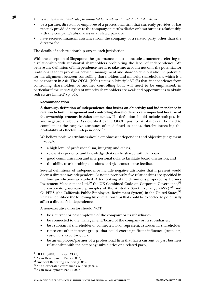- **<sup>38</sup>**  *be a substantial shareholder, be connected to, or represent a substantial shareholder,*
	- be a partner, director, or employee of a professional firm that currently provides or has recently provided services to the company or its subsidiaries or has a business relationship with the company/subsidiaries or a related party, or
	- have received financial assistance from the company, or a related party, other than the director fee.

The details of each relationship vary in each jurisdiction.

With the exception of Singapore, the governance codes all include a statement referring to a relationship with substantial shareholders prohibiting the label of independence. We believe any definition of independence needs to take into account not only the potential for traditional agency problems between management and shareholders but also the potential for mis-alignment between controlling shareholders and minority shareholders, which is a major concern in Asia. The OECD (2004) states in Principle VI (E) that 'independence from controlling shareholders or another controlling body will need to be emphasised, in particular if the *ex ante* rights of minority shareholders are weak and opportunities to obtain redress are limited' (p. 64).

#### **Recommendation**

**A thorough definition of independence that insists on objectivity and independence in relation to both management and controlling shareholders is very important because of the ownership structure in Asian companies.** The definition should include both positive and negative attributes. As described by the OECD, positive attributes can be used to complement the negative attributes often defined in codes, thereby increasing the probability of effective independence.<sup>49</sup>

We believe positive attributes should emphasise independent and objective judgement through:

- a high level of professionalism, integrity, and ethics,
- relevant experience and knowledge that can be shared with the board,
- good communication and interpersonal skills to facilitate board discussion, and
- the ability to ask probing questions and give constructive feedback.

Several definitions of independence include negative attributes that if present would deem a director *not* independent. As noted previously, five relationships are specified in the four jurisdictions we studied. After looking at the definitions proposed by Hermes Investment Management Ltd,<sup>50</sup> the UK Combined Code on Corporate Governance,<sup>51</sup> the corporate governance principles of the Australia Stock Exchange  $(ASX)$ ,  $5^2$  and CalPERS (the California Public Employees' Retirement System) in the United States,<sup>53</sup> we have identified the following list of relationships that could be expected to potentially affect a director's independence.

A non-executive director should NOT:

- be a current or past employee of the company or its subsidiaries,
- be connected to the management/board of the company or its subsidiaries,
- be a substantial shareholder or connected to, or represent, a substantial shareholder,
- represent other interest groups that could exert significant influence (suppliers, customers, creditors, etc),
- be an employee/partner of a professional firm that has a current or past business relationship with the company/subsidiaries or a related party,

 $^{49}$ OECD (2004) Principle VI (E).

<sup>50</sup>Asian Development Bank (2003).

<sup>51</sup>Financial Reporting Council (2008).

<sup>52</sup>ASX Corporate Governance Council (2007).

<sup>53</sup>Asian Development Bank (2003).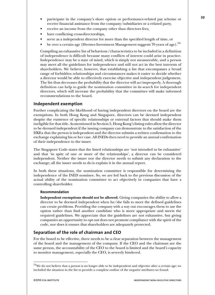- participate in the company's share option or performance-related pay scheme or receive financial assistance from the company/subsidiaries or a related party,
- receive an income from the company other than directors fees,
- have conflicting cross-directorships,
- serve as a independent director for more than the specified length of time, or
- be over a certain age (Hermes Investment Management suggests 70 years of age).<sup>54</sup>

Compiling an exhaustive list of behaviour/characteristics to be included in a definition of independence is difficult because many conflicts of interest could arise in practice. Independence may be a state of mind, which is simply not measureable, and a person may meet all the guidelines for independence and still not act in the best interests of shareholders. We believe, however, that establishing a list that encompasses a broad range of forbidden relationships and circumstances makes it easier to decide whether a director would be able to effectively exercise objective and independent judgement. The list thus decreases the probability that the director will act improperly. A thorough definition can help to guide the nomination committee in its search for independent directors, which will increase the probability that the committee will make informed recommendations to the board.

#### **Independent exemption**

Further complicating the likelihood of having independent directors on the board are the exemptions. In both Hong Kong and Singapore, directors can be deemed independent despite the existence of specific relationships or external factors that should make them ineligible for that title. As mentioned in Section 5, Hong Kong's listing rules allow the director to be deemed independent if the issuing company can demonstrate to the satisfaction of the HKEx that the person is independent and the director submits a written confirmation to the exchange explaining his or her case. All INEDs then need to provide an annual confirmation of their independence to the issuer.

The Singapore Code states that the listed relationships are 'not intended to be exhaustive' and that 'in spite of one or more of the relationships', a director can be considered independent. Neither the issuer nor the director needs to submit any declaration to the exchange; all the issuer needs to do is explain it in the annual report.

In both these situations, the nomination committee is responsible for determining the independence of the INED nominee. So, we are led back to the previous discussion of the actual ability of the nomination committee to act objectively in companies that have a controlling shareholder.

#### **Recommendation**

**Independent exemptions should not be allowed.** Giving companies the ability to allow a director to be deemed independent when he/she fails to meet the defined guidelines can create problems. Providing the company with a way out encourages them to use the option rather than find another candidate who is more appropriate and meets the required guidelines. We appreciate that the guidelines are not exhaustive, but giving companies an opportunity to opt out does not promote compliance with the spirit of the code, nor does it ensure that shareholders are adequately protected.

#### **Separation of the role of chairman and CEO**

For the board to be effective, there needs to be a clear separation between the management of the board and the management of the company. If the CEO and the chairman are the same person, the accountability of the CEO to the board is limited and the board's capacity to monitor management, especially the CEO, is severely hindered.

<sup>&</sup>lt;sup>54</sup>We do not believe that a person is no longer able to be independent and objective after a certain age; we included the situation in the list to provide a complete outline of the negative attributes we found.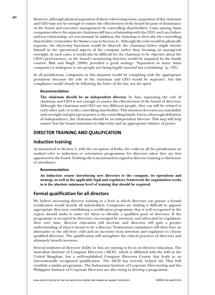**<sup>40</sup>** However, although physical separation of these roles is important, separation of the chairman and CEO may not be enough to ensure the effectiveness of the board because of dominance of the board and executive management by controlling shareholders. Cases among Asian companies where the separate chairman still has a relationship with the CEO, such as a fatherand-son relationship, are not unusual. In addition, the chairman is often also the controlling shareholder (remember the Swissco case in Section 4). Although the roles would be physically separate, the day-to-day functions would be blurred; the chairman/father might involve himself in the operational aspects of the company rather than focusing on managerial oversight. In such cases, it would also be difficult for the chairman to be objective about the CEO's performance, so the board's monitoring function would be impaired by the family control. Mak and Singh (2006) provided a good analogy: 'Separation in many Asian companies is analogous to two people not being legally married but co-habiting' (p. 195).

> In all jurisdictions, companies in this situation would be complying with the appropriate provisions (because the role of the chairman and CEO would be separate), but this compliance would clearly be following the letter of the law, not the spirit.

#### **Recommendation**

**The chairman should be an independent director.** In Asia, separating the role of chairman and CEO is not enough to ensure the effectiveness of the board of directors. Although the chairman and CEO are two different people, they can still be related to each other and/or to the controlling shareholder. This situation decreases accountability and oversight and gives great power to the controlling family. Given a thorough definition of independence, the chairman should be an independent director. This step will help ensure that the board maintains its objectivity and an appropriate balance of power.

## **DIRECTOR TRAINING AND QUALIFICATION**

### **Induction training**

As mentioned in Section 5, with the exception of India, the codes in all the jurisdictions we studied refer to induction or orientation programmes for directors when they are first appointed to the board. Nothing else is mentioned in regard to director training or disclosure of attendance.

#### **Recommendation**

**An induction course introducing new directors to the company, its operations and strategy, as well as the applicable legal and regulatory framework the organisation works in is the absolute minimum level of training that should be required.**

## **Formal qualification for all directors**

We believe increasing director training to a level at which directors can pursue a formal certification would benefit all stakeholders. Companies are finding it difficult to appoint appropriate directors; establishing a certification programme that is well recognized in the region should make it easier for them to identify a qualified pool of directors. If the programme is accepted by directors, encouraged by investors, and advocated by regulators, then over time, director education will increase and directors will gain a greater understanding of what it means to be a director. Nomination committees will then have an alternative to the old boys' club and an incentive from investors and regulators to choose qualified directors. The qualification will strengthen the ethical practices of directors and ultimately benefit investors.

Several institutes of directors (IoDs) in Asia are starting to focus on director education. The Australian Institute of Company Directors (AICD), which is affiliated with the IoD in the United Kingdom, has a well-established Company Directors Course that leads to an internationally recognized qualification. The AICD has recently helped the Thai IoD establish a similar programme. The Indonesian Institute of Corporate Directorship and the Philippine Institute of Corporate Directors are also trying to develop a programme.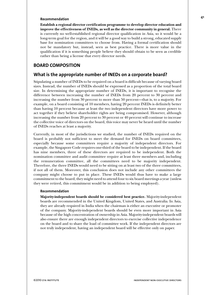#### **Recommendation**

**Establish a regional director certification programme to develop director education and improve the effectiveness of INEDs, as well as the director community in general.** There is currently no well-established regional director qualification in Asia, so it would be a long-term goal for the region, and it will be a good way to build a strong, educated supply base for nomination committees to choose from. Having a formal certification should not be mandatory but, instead, seen as best practice. There is more value in the qualification if it is something people believe they should obtain to be seen as credible rather than being a license that every director needs.

#### **BOARD COMPOSITION**

#### **What is the appropriate number of INEDs on a corporate board?**

Stipulating a number of INEDs to be required on a board is difficult because of varying board sizes. Instead, the number of INEDs should be expressed as a proportion of the total board size. In determining the appropriate number of INEDs, it is important to recognise the difference between increasing the number of INEDs from 20 percent to 30 percent and increasing the number from 30 percent to more than 50 percent—that is, to a majority. For example, on a board consisting of 10 members, having 20 percent INEDs is definitely better than having 10 percent because at least the two independent directors have more power to act together if they believe shareholder rights are being compromised. However, although increasing the number from 20 percent to 30 percent or 40 percent will continue to increase the collective voice of directors on the board, this voice may never be heard until the number of INEDs reaches at least a majority.

Currently, in most of the jurisdictions we studied, the number of INEDs required on the board is probably not sufficient to meet the demand for INEDs on board committees, especially because some committees require a majority of independent directors. For example, the Singapore Code requires one-third of the board to be independent. If the board has nine members, three of these directors are required to be independent. Both the nomination committee and audit committee require at least three members and, including the remuneration committee, all the committees need to be majority independent. Therefore, the three INEDs would need to be sitting on at least two of the three committees, if not all of them. Moreover, this conclusion does not include any other committees the company might choose to put in place. These INEDs would thus have to make a large commitment to the board; they might need to attend four to six board meetings a year (unless they were retired, this commitment would be in addition to being employed).

#### **Recommendation**

**Majority-independent boards should be considered best practice.** Majority-independent boards are recommended in the United Kingdom, United States, and Australia. In Asia, they are already required in India when the chairman is either an executive or promoter of the company. Majority-independent boards should be even more important in Asia because of the high concentration of ownership in Asia. Majority-independent boards will also ensure there are enough independent directors to exercise collective independence on the board and to share the load of committee work. If the independent directors are not truly independent, having an independent board will be effective only on paper.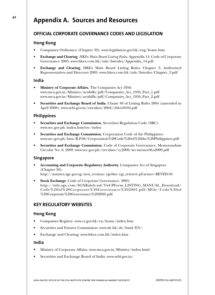## **<sup>42</sup> Appendix A. Sources and Resources**

## **OFFICIAL CORPORATE GOVERNANCE CODES AND LEGISLATION**

### **Hong Kong**

- Companies Ordinance (Chapter 32): www.legislation.gov.hk/eng/home.htm
- **Exchange and Clearing**, *HKEx Main Board Listing Rules*, Appendix 14. Code of Corporate Governance 2005: www.hkex.com.hk/rule/listrules/Appendix\_14.pdf
- **Exchange and Clearing**, HKEx Main Board Listing Rules, Chapter 3: Authorised Representatives and Directors 2005: www.hkex.com.hk/rule/listrules/Chapter\_3.pdf

#### **India**

- **Ministry of Corporate Affairs**, The Companies Act 1956: www.mca.gov.in/Ministry/actsbills/pdf/Companies\_Act\_1956\_Part\_1.pdf www.mca.gov.in/Ministry/actsbills/pdf/Companies\_Act\_1956\_Part\_2.pdf
- **Securities and Exchange Board of India**, Clause 49 of Listing Rules 2004 (amended in April 2008); www.sebi.gov.in/circulars/2004/cfdcir0104.pdf

#### **Philippines**

- **Securities and Exchange Commission**, Securities Regulation Code (SRC): www.sec.gov.ph/index.htm?src/index
- **Securities and Exchange Commission**, Corporation Code of the Philippines: www.sec.gov.ph/laws/B.P.68/Corporation%20Code%20of%20the%20Philippines.pdf
- **Securities and Exchange Commission**, Code of Corporate Governance, Memorandum Circular No. 6, 2009: www.sec.gov.ph/circulars/cy,2009/sec-memo-06,s2009.pdf

#### **Singapore**

• **Accounting and Corporate Regulatory Authority**, Companies Act of Singapore (Chapter 50):

http://statutes.agc.gov.sg/non\_version/cgi-bin/cgi\_retrieve.pl?actno= REVED-50

• **Stock Exchange**, Code of Corporate Governance, 2005: http://info.sgx.com/SGXRuleb.nsf/VwCPForm\_LISTING\_MANUAL\_Download/ Code%20of%20Corporate%20Governance%202005.pdf/\$File/Code%20of %20Corporate%20Governance%202005.pdf

## **KEY REGULATORY WEBSITES**

#### **Hong Kong**

- Companies Registry: www.cr.gov.hk/en/home/index.htm
- Securities and Futures Commission: www.sfc.hk/sfc/html/EN/
- Exchange and Clearing: www.hkex.com.hk/index.htm

#### **India**

- Ministry of Corporate Affairs: www.mca.gov.in/Ministry/index.html
- Securities and Exchange Board of India: www.sebi.gov.in/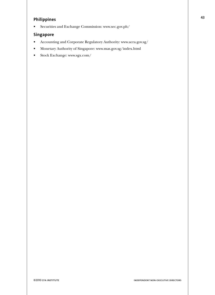## **Philippines**

• Securities and Exchange Commission: www.sec.gov.ph/

### **Singapore**

- Accounting and Corporate Regulatory Authority: www.acra.gov.sg/
- Monetary Authority of Singapore: www.mas.gov.sg/index.html
- Stock Exchange: www.sgx.com/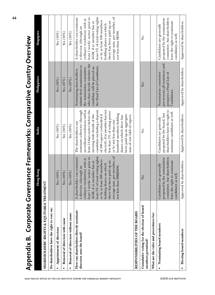| Corporate Govern<br>Appendix B.                                     |                                                                                                                                                                                                                                                                                                                                       | ance Frameworks: Comparative Country Overview                                                                                                                                                                                                                                                                                                                                                                                            |                                                                                                                                                                                   |                                                                                                                                                                                                                                                                                                                                     |
|---------------------------------------------------------------------|---------------------------------------------------------------------------------------------------------------------------------------------------------------------------------------------------------------------------------------------------------------------------------------------------------------------------------------|------------------------------------------------------------------------------------------------------------------------------------------------------------------------------------------------------------------------------------------------------------------------------------------------------------------------------------------------------------------------------------------------------------------------------------------|-----------------------------------------------------------------------------------------------------------------------------------------------------------------------------------|-------------------------------------------------------------------------------------------------------------------------------------------------------------------------------------------------------------------------------------------------------------------------------------------------------------------------------------|
|                                                                     | Hong Kong                                                                                                                                                                                                                                                                                                                             | India                                                                                                                                                                                                                                                                                                                                                                                                                                    | Philippines                                                                                                                                                                       | Singapore                                                                                                                                                                                                                                                                                                                           |
| <b>SHAREHOLDERS' RIGHTS &amp; EQUITABLE TREATMENT</b>               |                                                                                                                                                                                                                                                                                                                                       |                                                                                                                                                                                                                                                                                                                                                                                                                                          |                                                                                                                                                                                   |                                                                                                                                                                                                                                                                                                                                     |
| Do shareholders have the right to vote on:                          |                                                                                                                                                                                                                                                                                                                                       |                                                                                                                                                                                                                                                                                                                                                                                                                                          |                                                                                                                                                                                   |                                                                                                                                                                                                                                                                                                                                     |
| Appointment of directors                                            | Yes $(50\%)$                                                                                                                                                                                                                                                                                                                          | Yes $(50\%)$                                                                                                                                                                                                                                                                                                                                                                                                                             | Yes $(50\%)$                                                                                                                                                                      | Yes $(50\%)$                                                                                                                                                                                                                                                                                                                        |
| Removal of directors with cause                                     | Yes $(50\%)$                                                                                                                                                                                                                                                                                                                          | Yes $(50\%)$                                                                                                                                                                                                                                                                                                                                                                                                                             | $Yes (67\%)$                                                                                                                                                                      | Yes $(50\%)$                                                                                                                                                                                                                                                                                                                        |
| Removal of directors without cause                                  | Yes $(50\%)$                                                                                                                                                                                                                                                                                                                          | Yes $(50\%)$                                                                                                                                                                                                                                                                                                                                                                                                                             | $Yes (67\%)$                                                                                                                                                                      | Yes $(50\%)$                                                                                                                                                                                                                                                                                                                        |
| How can shareholders directly nominate<br>directors onto the board? | average sum, per member, of<br>least 5% of total voting rights<br>A shareholder can nominate<br>least 1 weeks' notice prior to<br>ordinary resolution) with at<br>or b) at least 100 members<br>AGM, if a) member has at<br>there has been paid up an<br>holding shares on which<br>a director (through an<br>not less than HK\$2000. | an ordinary resolution) with at<br>nominate a director (through<br>least 14 days notice before the<br>candidate including a deposit<br>elected), if a) member has not<br>less than 5% of voting power<br>hundred members holding<br>meeting with details of the<br>of 500 rupees (refunded if<br>been paid up an aggregate<br>sum of one lakh of rupees.<br>shares on which there has<br>or b) not less than one<br>The shareholders can | who then decide whether the<br>submit their nominations to<br>the Final List of Candidates.<br>candidate will be placed on<br>the nomination committee<br>Nominating shareholders | average sum, per member, of<br>least 5% of total voting rights<br>least 1 weeks' notice prior to<br>A shareholder can nominate<br>ordinary resolution) with at<br>or b) at least 100 members<br>AGM, if a) member has at<br>there has been paid up an<br>holding shares on which<br>a director (through an<br>not less than S\$500. |
| RESPONSIBILITIES OF THE BOARD                                       |                                                                                                                                                                                                                                                                                                                                       |                                                                                                                                                                                                                                                                                                                                                                                                                                          |                                                                                                                                                                                   |                                                                                                                                                                                                                                                                                                                                     |
| Cumulative voting for the election of board<br>members permitted?   | $\overline{\mathsf{z}}$                                                                                                                                                                                                                                                                                                               | ž                                                                                                                                                                                                                                                                                                                                                                                                                                        | Yes                                                                                                                                                                               | ž                                                                                                                                                                                                                                                                                                                                   |
| What are the rules and procedures for:                              |                                                                                                                                                                                                                                                                                                                                       |                                                                                                                                                                                                                                                                                                                                                                                                                                          |                                                                                                                                                                                   |                                                                                                                                                                                                                                                                                                                                     |
| Nominating board members                                            | but shareholders<br>proposed by the nomination<br>have the right to nominate<br>Candidates are generally<br>candidates as well.<br>committee,                                                                                                                                                                                         | shareholders have the right to<br>nominate candidates as well.<br>proposed by the board, but<br>Candidates are generally                                                                                                                                                                                                                                                                                                                 | pre-screens all nominees and<br>Nomination committee<br>prepares a Final List of<br>Candidates.                                                                                   | committee, but shareholders<br>proposed by the nomination<br>have the right to nominate<br>Candidates are generally<br>candidates as well.                                                                                                                                                                                          |
| Electing board members<br>$\bullet$                                 | Approved by shareholders.                                                                                                                                                                                                                                                                                                             | Approved by shareholders.                                                                                                                                                                                                                                                                                                                                                                                                                | Approved by shareholders.                                                                                                                                                         | Approved by shareholders.                                                                                                                                                                                                                                                                                                           |

**Appendix B. Corporate Governance Frameworks: Comparative Country Overview**  $\overline{\phantom{a}}$  $\overline{\phantom{a}}$ Į, l L  $\mathbf{c}$ ÷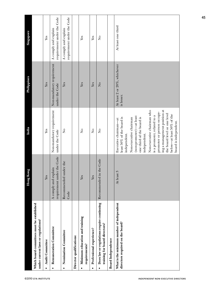|                                            |                                                                                          | mg Kong<br>Ĕ                                       | India                                                                                                                                                                                                                                                                                                                                                                                 | Philippines                                 | Singapore                                          |
|--------------------------------------------|------------------------------------------------------------------------------------------|----------------------------------------------------|---------------------------------------------------------------------------------------------------------------------------------------------------------------------------------------------------------------------------------------------------------------------------------------------------------------------------------------------------------------------------------------|---------------------------------------------|----------------------------------------------------|
| ©2010 CFA INSTITUTE                        | Which board committees must be established<br>under current laws or regulations?         |                                                    |                                                                                                                                                                                                                                                                                                                                                                                       |                                             |                                                    |
|                                            | <b>Audit Committee</b><br>$\bullet$                                                      | Yes                                                | Yes                                                                                                                                                                                                                                                                                                                                                                                   | Yes                                         | Yes                                                |
|                                            | Remuneration Committee<br>$\bullet$                                                      | requirement under the Code<br>A comply and explain | Non-mandatory requirement<br>under the Code                                                                                                                                                                                                                                                                                                                                           | Non-mandatory requirement<br>under the Code | requirement under the Code<br>A comply and explain |
|                                            | Nomination Committee<br>$\bullet$                                                        | Recommended under the<br>Code                      | $\frac{1}{2}$                                                                                                                                                                                                                                                                                                                                                                         | Yes                                         | requirement under the Code<br>A comply and explain |
|                                            | Director qualifications:                                                                 |                                                    |                                                                                                                                                                                                                                                                                                                                                                                       |                                             |                                                    |
|                                            | Minimum education and training<br>requirements?<br>$\bullet$                             | Yes                                                | $\frac{1}{2}$                                                                                                                                                                                                                                                                                                                                                                         | Yes                                         | Yes                                                |
|                                            | Professional experience?<br>$\bullet$                                                    | Yes                                                | $\frac{1}{2}$                                                                                                                                                                                                                                                                                                                                                                         | Yes                                         | Yes                                                |
|                                            | Does law or regulations require continuing<br>training for board directors?<br>$\bullet$ | Recommended in the Code                            | $\mathbf{S}^{\circ}$                                                                                                                                                                                                                                                                                                                                                                  | $\overline{a}$                              | $\mathop{\mathsf{S}}\nolimits$                     |
|                                            | <b>Board</b> Independence                                                                |                                                    |                                                                                                                                                                                                                                                                                                                                                                                       |                                             |                                                    |
| <b>INDEPENDENT NON-EXECUTIVE DIRECTORS</b> | What is the minimum number of independent<br>directors required on the board?            | At least 3                                         | ing a management position at<br>Non-executive chairman who<br>promoter or person occupy-<br>the board level or one level<br>below-at least 50% of the<br>is a promoter, related to a<br>(non-promoter)-at least<br>one third of the board is<br>least 50% of the board is<br>Non-executive chairman<br>Executive chairman-at<br>board is independent.<br>independent.<br>independent. | At least 2 or 20%, whichever<br>is lesser.  | At least one third                                 |
|                                            |                                                                                          |                                                    |                                                                                                                                                                                                                                                                                                                                                                                       |                                             |                                                    |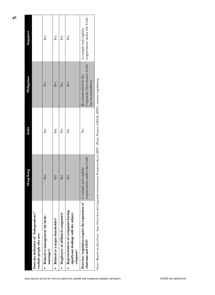|                                                                                                                                                                                            | yng Kong<br>Ě              | India | Philippines                                                                                    | Singapore            |
|--------------------------------------------------------------------------------------------------------------------------------------------------------------------------------------------|----------------------------|-------|------------------------------------------------------------------------------------------------|----------------------|
| Does the definition of "Independence"<br>exclude people who are:                                                                                                                           |                            |       |                                                                                                |                      |
| Related to management (by birth/<br>marriage)?                                                                                                                                             | Yes                        | Yes   | Yes                                                                                            | Yes                  |
| Related to a major shareholder?                                                                                                                                                            | Yes                        | Yes   | Yes                                                                                            | Yes                  |
| Employees of affiliated companies?                                                                                                                                                         | Yes                        | Yes   | Yes                                                                                            | Yes                  |
| Representatives of companies having<br>significant dealings with the subject<br>company?                                                                                                   | Yes                        | Yes   | Yes                                                                                            | Yes                  |
| <b>Does law/regulation require the separation of</b> $\Lambda$ comply and explain<br>chairman and CEO?                                                                                     | requirement under the Code | ż     | Corporate Governance Code requirement under the Code<br>Recommended in the<br>but no mandatory | A comply and explain |
| control of the first control of the control of Company of Company of Company of Control OCOD, December OCOD, OCOD, OCOD, OCOD, OCOD, OCOD, OCOD, OCOD, OCOD, OCOD, OCOD, OCOD, OCOD, OCOD, |                            |       |                                                                                                |                      |

| $\frac{1}{2}$<br>I<br>l<br>ì<br>Ì                              |  |
|----------------------------------------------------------------|--|
| i<br>į<br>č                                                    |  |
| j                                                              |  |
| ć                                                              |  |
| ł<br>l                                                         |  |
| l                                                              |  |
| I                                                              |  |
| ļ<br>j                                                         |  |
| l<br>1                                                         |  |
| ׇ֘֒                                                            |  |
|                                                                |  |
| i<br>I                                                         |  |
| I                                                              |  |
| į                                                              |  |
| ļ                                                              |  |
|                                                                |  |
| į                                                              |  |
| ಸ                                                              |  |
| ļ                                                              |  |
|                                                                |  |
| i<br>֚֚֚֬                                                      |  |
| ∍                                                              |  |
| l<br>֖֖֖֚֚֚֚֚֚֚֚֚֚֡                                            |  |
|                                                                |  |
| ֧ׅׅ֧֧֧֧֧֧֧֪ׅ֧֧֚֚֚֚֚֚֚֚֚֚֚֚֚֚֚֚֚֚֚֚֚֚֚֝֡֜֓֡֡֜֓֡֝֬֝֓֝֓֝֓֝֬֝֬֝֬֝֬ |  |
| ì                                                              |  |
|                                                                |  |
| $\frac{1}{1}$                                                  |  |
| į                                                              |  |
| j<br><b>All and the</b>                                        |  |
| į<br>ī                                                         |  |
| ł                                                              |  |
| I<br>I                                                         |  |
| 1<br>Ì                                                         |  |
| man.                                                           |  |
|                                                                |  |
|                                                                |  |
| ļ<br>j                                                         |  |
| i                                                              |  |
| j<br>١                                                         |  |
| j                                                              |  |
| į                                                              |  |
| ç                                                              |  |
| ï                                                              |  |
|                                                                |  |
| ļ                                                              |  |
| $\overline{\phantom{a}}$<br>١                                  |  |
|                                                                |  |
|                                                                |  |
| i                                                              |  |
| 1                                                              |  |
|                                                                |  |
| g                                                              |  |
| l                                                              |  |
|                                                                |  |
|                                                                |  |
| ֠                                                              |  |
|                                                                |  |
| Ş                                                              |  |
|                                                                |  |
| l<br>1                                                         |  |
|                                                                |  |
| ļ<br>i<br>Į                                                    |  |
| ١<br>í                                                         |  |
|                                                                |  |
| i                                                              |  |
|                                                                |  |
| i<br>Ì<br>ì                                                    |  |
|                                                                |  |
| f                                                              |  |
|                                                                |  |
| í<br>J                                                         |  |
| on the<br>ś                                                    |  |
| J<br>Ì<br>į                                                    |  |
|                                                                |  |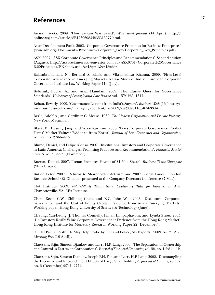## **References**

Anand, Geeta. 2009. 'How Satyam Was Saved'. *Wall Street Journal* (14 April): http:// online.wsj.com/article/SB123960834835313077.html.

Asian Development Bank. 2003. 'Corporate Governance Principles for Business Enterprises' (www.adb.org/Documents/Brochures/Corporate\_Gov/Corporate\_Gov\_Principles.pdf).

ASX. 2007. 'ASX Corporate Governance Principles and Recommendations'. Second edition (August): http://asx.ice4.interactiveinvestor.com.au/ASX0701/Corporate%20Governance %20Principles/EN/body.aspx?z=1&p=-1&v=1&uid=.

Balasubramanian, N., Bernard S. Black, and Vikramaditya Khanna. 2009. 'Firm-Level Corporate Governance in Emerging Markets: A Case Study of India'. European Corporate Governance Institute Law Working Paper 119 (July).

Bebchuk, Lucian A., and Assaf Hamdani. 2009. 'The Elusive Quest for Governance Standards'. *University of Pennsylvania Law Review*, vol. 157:1263–1317.

Behan, Beverly. 2009. 'Governance Lessons from India's Satyam'. *Business Week* (16 January): www.businessweek.com/managing/content/jan2009/ca20090116\_465633.htm.

Berle, Adolf A., and Gardiner C. Means. 1932. *The Modern Corporation and Private Property*. New York: Macmillan.

Black, B., Hasung Jang, and Woochan Kim. 2006. 'Does Corporate Governance Predict Firms' Market Values? Evidence from Korea'. *Journal of Law Economics and Organization*, vol. 22, no. 2:366–413.

Blume, Daniel, and Felipe Alonso. 2007. 'Institutional Investors and Corporate Governance in Latin America: Challenges, Promising Practices and Recommendations'. *Financial Market Trends*, vol. 2, no. 9 (November).

Buenas, Daniel. 2007. 'Isetan Proposes Payout of \$1.50 a Share'. *Business Times Singapore* (28 February).

Butler, Peter. 2007. 'Returns to Shareholder Activism and 2007 Global Issues'. London Business School/ECGI paper presented at the Company Directors Conference (7 May).

CFA Institute. 2009. *Related-Party Transactions: Cautionary Tales for Investors in Asia*. Charlottesville, VA: CFA Institute.

Chen, Kevin C.W., Zhihong Chen, and K.C. John Wei. 2003. 'Disclosure, Corporate Governance, and the Cost of Equity Capital: Evidence from Asia's Emerging Markets'. Working paper, Hong Kong University of Science & Technology (June).

Cheung, Yan-Leung, J. Thomas Connelly, Piman Limpaphayom, and Lynda Zhou. 2005. 'Do Investors Really Value Corporate Governance? Evidence from the Hong Kong Market'. Hong Kong Institute for Monetary Research Working Paper 22 (December).

'CITIC Pacific Reshuffle May Help Probe by SFC and Police, Say Experts'. 2009. *South China Morning Post* (10 April).

Claessens, Stijn, Simeon Djankov, and Larry H.P. Lang. 2000. 'The Separation of Ownership and Control in East Asian Corporations'. *Journal of Financial Economics*, vol. 58, no. 1-2:81–112.

Claessens, Stijn, Simeon Djankov, Joseph P.H. Fan, and Larry H.P. Lang. 2002. 'Disentangling the Incentive and Entrenchment Effects of Large Shareholdings'. *Journal of Finance*, vol. 57, no. 6 (December):2741–2771.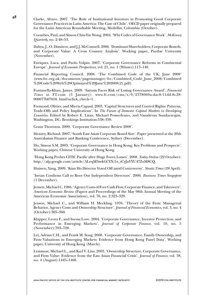**<sup>48</sup>** Clarke, Alvaro. 2007. 'The Role of Institutional Investors in Promoting Good Corporate Governance Practices in Latin America: The Case of Chile'. OECD paper originally prepared for the Latin American Roundtable Meeting, Medellin, Colombia (October).

> Coombes, Paul, and Simon Chiu-Yin Wong. 2004. 'Why Codes of Governance Work'. *McKinsey Quarterly*, no. 2:48–53.

> Dahya, J., O. Dimitrov, and J.J. McConnell. 2006. 'Dominant Shareholders, Corporate Boards, and Corporate Value: A Cross Country Analysis'. Working paper, Purdue University (November).

> Enriques, Luca, and Paolo Volpin. 2007. 'Corporate Governance Reforms in Continental Europe'. *Journal of Economic Perspectives*, vol. 21, no. 1 (Winter):117–140.

> Financial Reporting Council. 2008. 'The Combined Code of the UK, June 2008' (www.frc.org.uk/documents/pagemanager/frc/Combined\_Code\_June\_2008/Combined %20Code%20Web%20Optimized%20June%202008(2).pdf).

> Fontanella-Khan, James. 2009. 'Satyam Faces Risk of Losing Governance Award'. *Financial Times* at FT.com (5 January): www.ft.com/cms/s/0/2378069a-dac8-11dd-8c28- 000077b07658. html?nclick\_check=1.

> Fremond, Olivier, and Mierta Capaul. 2003. 'Capital Structures and Control Rights: Patterns, Trade-Offs and Policy Implications'. In *The Future of Domestic Capital Markets in Developing Countries*. Edited by Robert E. Litan, Michael Pomerleano, and Vasudevan Sundararajan. Washington, DC: Brookings Institution:338–339.

Grant Thornton. 2009. 'Corporate Governance Review 2008'.

Heaney, Richard. 2007. 'South East Asian Corporate Board Size'. Paper presented at the 20th Australasian Finance and Banking Conference, Sydney (December).

Ho, Simon S.M. 2003. 'Corporate Governance in Hong Kong: Key Problems and Prospects'. Working paper, Chinese University of Hong Kong.

'Hong Kong Probes CITIC Pacific after Huge Forex Losses'. 2008. *Today Online* (22 October): http://afp.google.com/article/ALeqM5iwkGCYX-5-t\_tCyJnVYU47ZoM8CQ.

Huiwen, Yang. 2009. 'Kian Ho Director Voted Off amid Controversy'. *Straits Times* (28 April).

'Isetan Confirms Call to Boot Out Independent Directors'. 2006. *Business Times Singapore* (1 December).

Jensen, Michael C. 1986. 'Agency Costs of Free Cash Flow, Corporate Finance, and Takeovers'. *American Economic Review* (Papers and Proceedings of the May 98th Annual Meeting of the American Economic Association), vol. 76, no. 2:323–329.

Jensen, Michael C., and William H. Meckling. 1976. 'Theory of the Firm: Managerial Behavior, Agency Costs and Ownership Structure'. *Journal of Financial Economics*, vol. 3, no. 4 (October):305–360.

Klapper, Leora F., and Inessa Love. 2004. 'Corporate Governance, Investor Protection, and Performance in Emerging Markets'. *Journal of Corporate Finance*, vol. 10, no. 5 (November):703–728.

Lei, Adrian C.H., and Frank M. Song. 2008. 'Corporate Governance, Family Ownership, and Firm Valuations in Emerging Markets: Evidence from Hong Kong Panel Data'. Working paper, University of Hong Kong (March).

Lemmon, Michael L., and Karl V. Lins. 2003. 'Ownership Structure, Corporate Governance, and Firm Value: Evidence from the East Asian Financial Crisis'. *Journal of Finance*, vol. 58, no. 4 (August):1445–1468.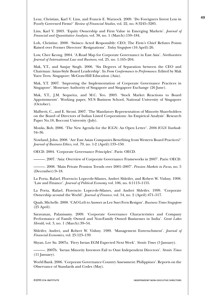Leuz, Christian, Karl V. Lins, and Francis E. Warnock. 2009. 'Do Foreigners Invest Less in Poorly Governed Firms?' *Review of Financial Studies*, vol. 22, no. 8:3245–3285.

Lins, Karl V. 2003. 'Equity Ownership and Firm Value in Emerging Markets'. *Journal of Financial and Quantitative Analysis*, vol. 38, no. 1 (March):159–184.

Loh, Christine. 2008. 'Swissco Acted Responsibly: CEO; The Firm's Chief Refutes Points Raised over Former Directors' Resignations'. *Today Singapore* (16 April):26.

Low, Chee Keong. 2004. 'A Road Map for Corporate Governance in East Asia'. *Northwestern Journal of International Law and Business*, vol. 25, no. 1:165–204.

Mak, Y.T., and Sanjay Singh. 2006. 'Six Degrees of Separation between the CEO and Chairman: Asian-Style Board Leadership'. In *From Conformance to Performance*. Edited by Mak Yuen Teen. Singapore: McGraw-Hill Education (Asia).

Mak, Y.T. 2007. 'Improving the Implementation of Corporate Governance Practices in Singapore'. Monetary Authority of Singapore and Singapore Exchange (26 June).

Mak, Y.T., J.M. Sequeira, and M.C. Yeo. 2003. 'Stock Market Reactions to Board Appointments'. Working paper, NUS Business School, National University of Singapore (October).

Malberti, C., and E. Sironi. 2007. 'The Mandatory Representation of Minority Shareholders on the Board of Directors of Italian Listed Corporations: An Empirical Analysis'. Research Paper No.18, Bocconi University (July).

Monks, Bob. 2006. 'The New Agenda for the ICGN: An Open Letter'. *2006 ICGN Yearbook*: 34–36.

Nowland, John. 2008. 'Are East Asian Companies Benefiting from Western Board Practices?' *Journal of Business Ethics*, vol. 79, no. 1-2 (April):133–150.

OECD. 2004. 'Corporate Governance Principles'. Paris: OECD.

———. 2007. 'Asia: Overview of Corporate Governance Frameworks in 2007'. Paris: OECD.

———. 2008. 'Main Private Pension Trends over 2001–2007'. *Pension Markets in Focus*, no. 5 (December):9–18.

La Porta, Rafael, Florencio Lopez-de-Silanes, Andrei Shleifer, and Robert W. Vishny. 1998. 'Law and Finance'. *Journal of Political Economy*, vol. 106, no. 6:1113–1155.

La Porta, Rafael, Florencio Lopez-de-Silanes, and Andrei Shleifer. 1999. 'Corporate Ownership around the World'. *Journal of Finance*, vol. 54, no. 2 (April):471–517.

Quah, Michelle. 2008. 'CAO Left to Answer as Lee Suet Fern Resigns'. *Business Times Singapore* (25 April).

Saravanan, Palanisamy. 2009. 'Corporate Governance Characteristics and Company Performance of Family Owned and Non-Family Owned Businesses in India'. *Great Lakes Herald*, vol. 3, no. 1 (March):39–54.

Shleifer, Andrei, and Robert W. Vishny. 1989. 'Management Entrenchment'. *Journal of Financial Economics*, vol. 25:123–139.

Shyan, Lee Su. 2007a. 'Fiery Isetan EGM Expected Next Week'. *Straits Times* (5 January).

———. 2007b. 'Isetan Minority Investors Fail to Oust Independent Directors'. *Straits Times*  $(11$  January).

World Bank. 2006. 'Corporate Governance Country Assessment: Philippines'. Reports on the Observance of Standards and Codes (May).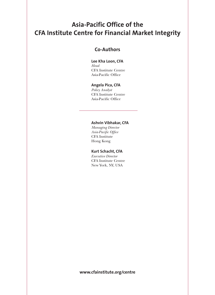## **Asia-Pacific Office of the CFA Institute Centre for Financial Market Integrity**

## **Co-Authors**

### **Lee Kha Loon, CFA**

*Head* CFA Institute Centre Asia-Pacific Office

#### **Angela Pica, CFA**

*Policy Analyst* CFA Institute Centre Asia-Pacific Office

#### **Ashvin Vibhakar, CFA**

*Managing Director Asia-Pacific Office* CFA Institute Hong Kong

#### **Kurt Schacht, CFA**

*Executive Director* CFA Institute Centre New York, NY, USA

**www.cfainstitute.org/centre**